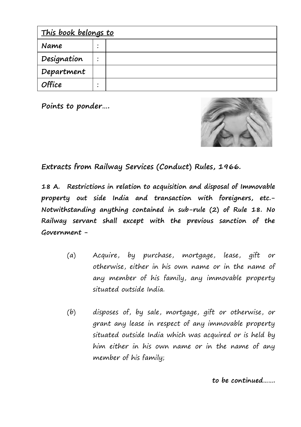| <u>This book belongs to</u> |  |  |
|-----------------------------|--|--|
| Name                        |  |  |
| Designation                 |  |  |
| Department                  |  |  |
| <b>Office</b>               |  |  |

**Points to ponder….** 



**Extracts from Railway Services (Conduct) Rules, 1966.**

**18 A. Restrictions in relation to acquisition and disposal of Immovable property out side India and transaction with foreigners, etc.- Notwithstanding anything contained in sub-rule (2) of Rule 18. No Railway servant shall except with the previous sanction of the Government -**

- (a) Acquire, by purchase, mortgage, lease, gift or otherwise, either in his own name or in the name of any member of his family, any immovable property situated outside India.
- (b) disposes of, by sale, mortgage, gift or otherwise, or grant any lease in respect of any immovable property situated outside India which was acquired or is held by him either in his own name or in the name of any member of his family;

**to be continued…….**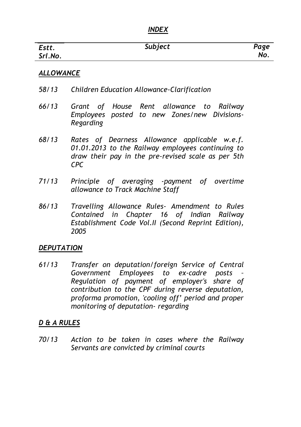# *INDEX*

| Estt.   | <b>Subject</b> | Page |
|---------|----------------|------|
| Srl.No. |                | No.  |

## *ALLOWANCE*

- *58/13 Children Education Allowance-Clarification*
- *66/13 Grant of House Rent allowance to Railway Employees posted to new Zones/new Divisions-Regarding*
- *68/13 Rates of Dearness Allowance applicable w.e.f. 01.01.2013 to the Railway employees continuing to draw their pay in the pre-revised scale as per 5th CPC*
- *71/13 Principle of averaging -payment of overtime allowance to Track Machine Staff*
- *86/13 Travelling Allowance Rules- Amendment to Rules Contained in Chapter 16 of Indian Railway Establishment Code Vol.II (Second Reprint Edition), 2005*

## *DEPUTATION*

*61/13 Transfer on deputation/foreign Service of Central Government Employees to ex-cadre posts – Regulation of payment of employer's share of contribution to the CPF during reverse deputation, proforma promotion, 'cooling off' period and proper monitoring of deputation- regarding*

## *D & A RULES*

*70/13 Action to be taken in cases where the Railway Servants are convicted by criminal courts*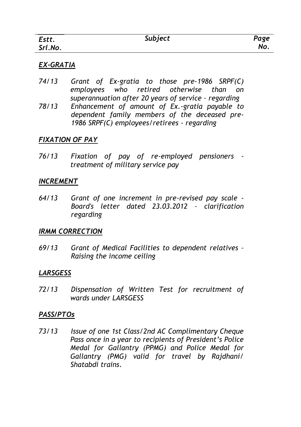| Estt.   | Subject | Page |
|---------|---------|------|
| Srl.No. |         | No.  |

#### *EX-GRATIA*

- *74/13 Grant of Ex-gratia to those pre-1986 SRPF(C) employees who retired otherwise than on superannuation after 20 years of service – regarding*
- *78/13 Enhancement of amount of Ex.-gratia payable to dependent family members of the deceased pre-1986 SRPF(C) employees/retirees - regarding*

#### *FIXATION OF PAY*

*76/13 Fixation of pay of re-employed pensioners treatment of military service pay*

#### *INCREMENT*

*64/13 Grant of one increment in pre-revised pay scale - Board's letter dated 23.03.2012 – clarification regarding*

#### *IRMM CORRECTION*

*69/13 Grant of Medical Facilities to dependent relatives – Raising the income ceiling*

#### *LARSGESS*

*72/13 Dispensation of Written Test for recruitment of wards under LARSGESS*

#### *PASS/PTOs*

*73/13 Issue of one 1st Class/2nd AC Complimentary Cheque Pass once in a year to recipients of President's Police Medal for Gallantry (PPMG) and Police Medal for Gallantry (PMG) valid for travel by Rajdhani/ Shatabdi trains.*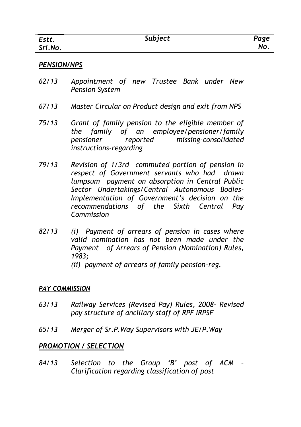## *PENSION/NPS*

- *62/13 Appointment of new Trustee Bank under New Pension System*
- *67/13 Master Circular on Product design and exit from NPS*
- *75/13 Grant of family pension to the eligible member of the family of an employee/pensioner/family pensioner reported missing-consolidated instructions-regarding*
- *79/13 Revision of 1/3rd commuted portion of pension in respect of Government servants who had drawn lumpsum payment on absorption in Central Public Sector Undertakings/Central Autonomous Bodies-Implementation of Government's decision on the recommendations of the Sixth Central Pay Commission*
- *82/13 (i) Payment of arrears of pension in cases where valid nomination has not been made under the Payment of Arrears of Pension (Nomination) Rules, 1983; (ii) payment of arrears of family pension-reg.*

#### *PAY COMMISSION*

- *63/13 Railway Services (Revised Pay) Rules, 2008- Revised pay structure of ancillary staff of RPF IRPSF*
- *65/13 Merger of Sr.P.Way Supervisors with JE/P.Way*

## *PROMOTION / SELECTION*

*84/13 Selection to the Group 'B' post of ACM – Clarification regarding classification of post*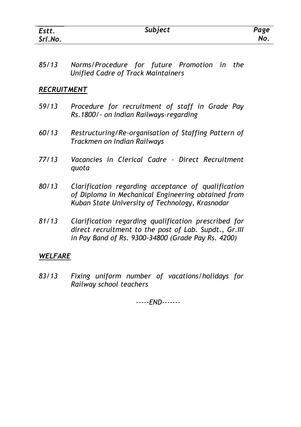| Estt.   | Subject | Page |
|---------|---------|------|
| Srl.No. |         | No.  |

*85/13 Norms/Procedure for future Promotion in the Unified Cadre of Track Maintainers*

#### *RECRUITMENT*

- *59/13 Procedure for recruitment of staff in Grade Pay Rs.1800/- on Indian Railways-regarding*
- *60/13 Restructuring/Re-organisation of Staffing Pattern of Trackmen on Indian Railways*
- *77/13 Vacancies in Clerical Cadre – Direct Recruitment quota*
- *80/13 Clarification regarding acceptance of qualification of Diploma in Mechanical Engineering obtained from Kuban State University of Technology, Krasnodar*
- *81/13 Clarification regarding qualification prescribed for direct recruitment to the post of Lab. Supdt., Gr.III in Pay Band of Rs. 9300-34800 (Grade Pay Rs. 4200)*

#### *WELFARE*

*83/13 Fixing uniform number of vacations/holidays for Railway school teachers*

*-----END-------*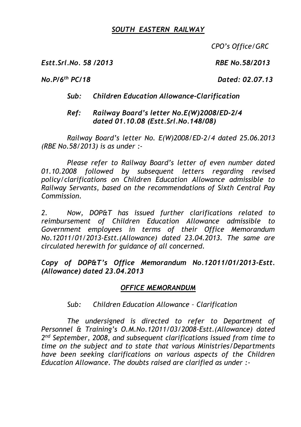## *SOUTH EASTERN RAILWAY*

 *CPO's Office/GRC*

*Estt.Srl.No. 58 /2013 RBE No.58/2013*

*No.P/6th PC/18 Dated: 02.07.13* 

# *Sub: Children Education Allowance-Clarification*

*Ref: Railway Board's letter No.E(W)2008/ED-2/4 dated 01.10.08 (Estt.Srl.No.148/08)*

*Railway Board's letter No. E(W)2008/ED-2/4 dated 25.06.2013 (RBE No.58/2013) is as under :-*

*Please refer to Railway Board's letter of even number dated 01.10.2008 followed by subsequent letters regarding revised policy/clarifications on Children Education Allowance admissible to Railway Servants, based on the recommendations of Sixth Central Pay Commission.*

*2. Now, DOP&T has issued further clarifications related to reimbursement of Children Education Allowance admissible to Government employees in terms of their Office Memorandum No.12011/01/2013-Estt.(Allowance) dated 23.04.2013. The same are circulated herewith for guidance of all concerned.*

*Copy of DOP&T's Office Memorandum No.12011/01/2013-Estt. (Allowance) dated 23.04.2013*

# *OFFICE MEMORANDUM*

*Sub: Children Education Allowance – Clarification*

*The undersigned is directed to refer to Department of Personnel & Training's O.M.No.12011/03/2008-Estt.(Allowance) dated 2 nd September, 2008, and subsequent clarifications issued from time to time on the subject and to state that various Ministries/Departments have been seeking clarifications on various aspects of the Children Education Allowance. The doubts raised are clarified as under :-*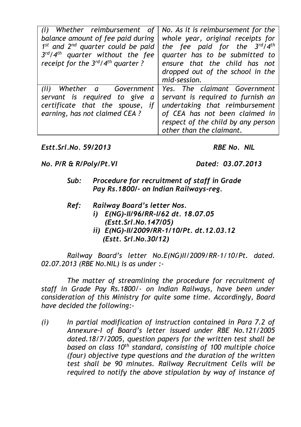| (i) Whether reimbursement of            | No. As it is reimbursement for the |
|-----------------------------------------|------------------------------------|
| balance amount of fee paid during       | whole year, original receipts for  |
| $1st$ and $2nd$ quarter could be paid   | the fee paid for the 3rd/4th       |
| $3^{rd}/4^{th}$ quarter without the fee | quarter has to be submitted to     |
| receipt for the $3rd/4th$ quarter?      | ensure that the child has not      |
|                                         | dropped out of the school in the   |
|                                         | mid-session.                       |
| (ii) Whether a Government               | Yes. The claimant Government       |
| servant is required to give<br>a        | servant is required to furnish an  |
| certificate that the spouse, if         | undertaking that reimbursement     |
| earning, has not claimed CEA?           | of CEA has not been claimed in     |
|                                         | respect of the child by any person |
|                                         | other than the claimant.           |

*Estt.Srl.No. 59/2013 RBE No. NIL*

*No. P/R & R/Poly/Pt.VI Dated: 03.07.2013*

- *Sub: Procedure for recruitment of staff in Grade Pay Rs.1800/- on Indian Railways-reg.*
- *Ref: Railway Board's letter Nos. i) E(NG)-II/96/RR-I/62 dt. 18.07.05 (Estt.Srl.No.147/05)* 
	- *ii) E(NG)-II/2009/RR-1/10/Pt. dt.12.03.12 (Estt. Srl.No.30/12)*

*Railway Board's letter No.E(NG)II/2009/RR-1/10/Pt. dated. 02.07.2013 (RBE No.NIL) is as under :-*

*The matter of streamlining the procedure for recruitment of staff in Grade Pay Rs.1800/- on Indian Railways, have been under consideration of this Ministry for quite some time. Accordingly, Board have decided the following:-*

*(i) In partial modification of instruction contained in Para 7.2 of Annexure-I of Board's letter issued under RBE No.121/2005 dated.18/7/2005, question papers for the written test shall be based on class 10th standard, consisting of 100 multiple choice (four) objective type questions and the duration of the written test shall be 90 minutes. Railway Recruitment Cells will be required to notify the above stipulation by way of instance of*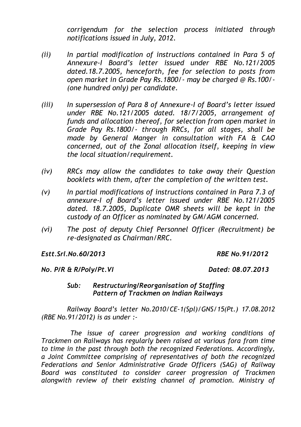*corrigendum for the selection process initiated through notifications issued in July, 2012.*

- *(ii) In partial modification of instructions contained in Para 5 of Annexure-I Board's letter issued under RBE No.121/2005 dated.18.7.2005, henceforth, fee for selection to posts from open market in Grade Pay Rs.1800/- may be charged @ Rs.100/- (one hundred only) per candidate.*
- *(iii) In supersession of Para 8 of Annexure-I of Board's letter issued under RBE No.121/2005 dated. 18/7/2005, arrangement of funds and allocation thereof, for selection from open market in Grade Pay Rs.1800/- through RRCs, for all stages, shall be made by General Manger in consultation with FA & CAO concerned, out of the Zonal allocation itself, keeping in view the local situation/requirement.*
- *(iv) RRCs may allow the candidates to take away their Question booklets with them, after the completion of the written test.*
- *(v) In partial modifications of instructions contained in Para 7.3 of annexure-I of Board's letter issued under RBE No.121/2005 dated. 18.7.2005, Duplicate OMR sheets will be kept in the custody of an Officer as nominated by GM/AGM concerned.*
- *(vi) The post of deputy Chief Personnel Officer (Recruitment) be re-designated as Chairman/RRC.*

*Estt.Srl.No.60/2013 RBE No.91/2012*

#### *No. P/R & R/Poly/Pt.VI Dated: 08.07.2013*

#### *Sub: Restructuring/Reorganisation of Staffing Pattern of Trackmen on Indian Railways*

*Railway Board's letter No.2010/CE-1(Spl)/GNS/15(Pt.) 17.08.2012 (RBE No.91/2012) is as under :-*

*The issue of career progression and working conditions of Trackmen on Railways has regularly been raised at various fora from time to time in the past through both the recognized Federations. Accordingly, a Joint Committee comprising of representatives of both the recognized Federations and Senior Administrative Grade Officers (SAG) of Railway Board was constituted to consider career progression of Trackmen alongwith review of their existing channel of promotion. Ministry of*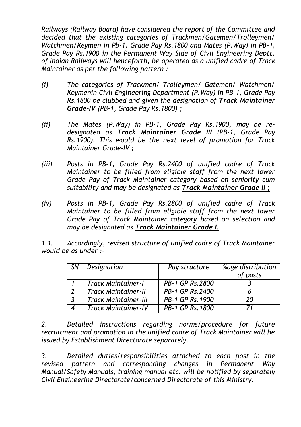*Railways (Railway Board) have considered the report of the Committee and decided that the existing categories of Trackmen/Gatemen/Trolleymen/ Watchmen/Keymen in Pb-1, Grade Pay Rs.1800 and Mates (P.Way) in PB-1, Grade Pay Rs.1900 in the Permanent Way Side of Civil Engineering Deptt. of Indian Railways will henceforth, be operated as a unified cadre of Track Maintainer as per the following pattern :*

- *(i) The categories of Trackmen/ Trolleymen/ Gatemen/ Watchmen/ Keymenin Civil Engineering Department (P.Way) in PB-1, Grade Pay Rs.1800 be clubbed and given the designation of Track Maintainer Grade-IV (PB-1, Grade Pay Rs.1800) ;*
- *(ii) The Mates (P.Way) in PB-1, Grade Pay Rs.1900, may be redesignated as Track Maintainer Grade III (PB-1, Grade Pay Rs.1900). This would be the next level of promotion for Track Maintainer Grade-IV ;*
- *(iii) Posts in PB-1, Grade Pay Rs.2400 of unified cadre of Track Maintainer to be filled from eligible staff from the next lower Grade Pay of Track Maintainer category based on seniority cum suitability and may be designated as Track Maintainer Grade II ;*
- *(iv) Posts in PB-1, Grade Pay Rs.2800 of unified cadre of Track Maintainer to be filled from eligible staff from the next lower Grade Pay of Track Maintainer category based on selection and may be designated as Track Maintainer Grade I.*

*1.1. Accordingly, revised structure of unified cadre of Track Maintainer would be as under :-*

| SΝ             | Designation                 | Pay structure    | %age distribution |
|----------------|-----------------------------|------------------|-------------------|
|                |                             |                  | of posts          |
|                | Track Maintainer-I          | PB-1 GP Rs.2800  |                   |
|                | <b>Track Maintainer-II</b>  | PB-1 GP Rs. 2400 |                   |
| $\overline{3}$ | <b>Track Maintainer-III</b> | PB-1 GP Rs. 1900 | 20                |
|                | <b>Track Maintainer-IV</b>  | PB-1 GP Rs. 1800 |                   |

*2. Detailed instructions regarding norms/procedure for future recruitment and promotion in the unified cadre of Track Maintainer will be issued by Establishment Directorate separately.*

*3. Detailed duties/responsibilities attached to each post in the revised pattern and corresponding changes in Permanent Way Manual/Safety Manuals, training manual etc. will be notified by separately Civil Engineering Directorate/concerned Directorate of this Ministry.*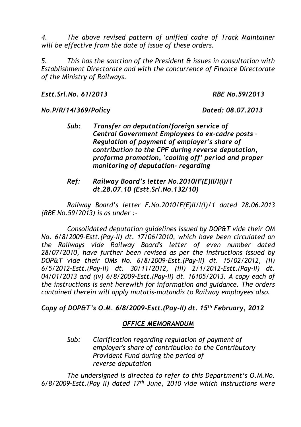*4. The above revised pattern of unified cadre of Track Maintainer will be effective from the date of issue of these orders.*

*5. This has the sanction of the President & issues in consultation with Establishment Directorate and with the concurrence of Finance Directorate of the Ministry of Railways.*

*Estt.Srl.No. 61/2013 RBE No.59/2013*

*No.P/R/14/369/Policy Dated: 08.07.2013*

- *Sub: Transfer on deputation/foreign service of Central Government Employees to ex-cadre posts – Regulation of payment of employer's share of contribution to the CPF during reverse deputation, proforma promotion, 'cooling off' period and proper monitoring of deputation- regarding*
- *Ref: Railway Board's letter No.2010/F(E)II/I(I)/1 dt.28.07.10 (Estt.Srl.No.132/10)*

*Railway Board's letter F.No.2010/F(E)II/I(I)/1 dated 28.06.2013 (RBE No.59/2013) is as under :-*

*Consolidated deputation guidelines issued by DOP&T vide their OM No. 6/8/2009-Estt.(Pay-II) dt. 17/06/2010, which have been circulated on the Railways vide Railway Board's letter of even number dated 28/07/2010, have further been revised as per the instructions issued by DOP&T vide their OMs No. 6/8/2009-Estt.(Pay-II) dt. 15/02/2012, (ii) 6/5/2012-Estt.(Pay-II) dt. 30/11/2012, (iii) 2/1/2012-Estt.(Pay-II) dt. 04/01/2013 and (iv) 6/8/2009-Estt.(Pay-II) dt. 16105/2013. A copy each of the instructions is sent herewith for information and guidance. The orders contained therein will apply mutatis-mutandis to Railway employees also.*

*Copy of DOP&T's O.M. 6/8/2009-Estt.(Pay-II) dt. 15th February, 2012*

## *OFFICE MEMORANDUM*

*Sub: Clarification regarding regulation of payment of employer's share of contribution to the Contributory Provident Fund during the period of reverse deputation*

*The undersigned is directed to refer to this Department's O.M.No. 6/8/2009-Estt.(Pay II) dated 17th June, 2010 vide which instructions were*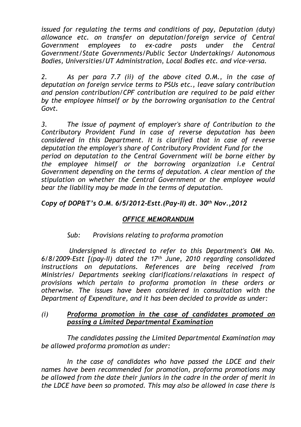*issued for regulating the terms and conditions of pay, Deputation (duty) allowance etc. on transfer on deputation/foreign service of Central Government employees to ex-cadre posts under the Central Government/State Governments/Public Sector Undertakings/ Autonomous Bodies, Universities/UT Administration, Local Bodies etc. and vice-versa.* 

*2. As per para 7.7 (ii) of the above cited O.M., in the case of deputation on foreign service terms to PSUs etc., leave salary contribution and pension contribution/CPF contribution are required to be paid either by the employee himself or by the borrowing organisation to the Central Govt.* 

*3. The issue of payment of employer's share of Contribution to the Contributory Provident Fund in case of reverse deputation has been considered in this Department. It is clarified that in case of reverse deputation the employer's share of Contributory Provident Fund for the period on deputation to the Central Government will be borne either by the employee himself or the borrowing organization i.e Central Government depending on the terms of deputation. A clear mention of the stipulation on whether the Central Government or the employee would bear the liability may be made in the terms of deputation.*

*Copy of DOP&T's O.M. 6/5/2012-Estt.(Pay-II) dt. 30th Nov.,2012*

## *OFFICE MEMORANDUM*

## *Sub: Provisions relating to proforma promotion*

*Undersigned is directed to refer to this Department's OM No. 6/8/2009-Estt [(pay-II) dated the 17th June, 2010 regarding consolidated instructions on deputations. References are being received from Ministries/ Departments seeking clarifications/relaxations in respect of provisions which pertain to proforma promotion in these orders or otherwise. The issues have been considered in consultation with the Department of Expenditure, and it has been decided to provide as under:* 

#### *(i) Proforma promotion in the case of candidates promoted on passing a Limited Departmental Examination*

*The candidates passing the Limited Departmental Examination may be allowed proforma promotion as under:* 

*In the case of candidates who have passed the LDCE and their names have been recommended for promotion, proforma promotions may be allowed from the date their juniors in the cadre in the order of merit in the LDCE have been so promoted. This may also be allowed in case there is*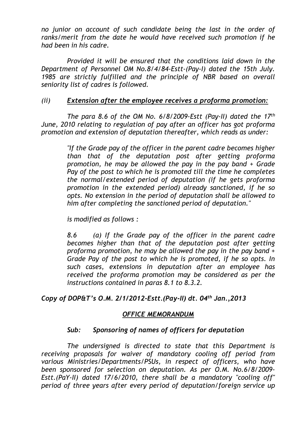*no junior on account of such candidate being the last in the order of ranks/merit from the date he would have received such promotion if he had been in his cadre.* 

*Provided it will be ensured that the conditions laid down in the Department of Personnel OM No.8/4/84-Estt-(Pay-I) dated the 15th July. 1985 are strictly fulfilled and the principle of NBR based on overall seniority list of cadres is followed.* 

#### *(ii) Extension after the employee receives a proforma promotion:*

*The para 8.6 of the OM No. 6/8/2009-Estt (Pay-II) dated the 17th June, 2010 relating to regulation of pay after an officer has got proforma promotion and extension of deputation thereafter, which reads as under:*

> *"If the Grade pay of the officer in the parent cadre becomes higher than that of the deputation post after getting proforma promotion, he may be allowed the pay in the pay band + Grade Pay of the post to which he is promoted till the time he completes the normal/extended period of deputation (if he gets proforma promotion in the extended period) already sanctioned, if he so opts. No extension in the period of deputation shall be allowed to him after completing the sanctioned period of deputation."*

*is modified as follows :* 

*8.6 (a) If the Grade pay of the officer in the parent cadre becomes higher than that of the deputation post after getting proforma promotion, he may be allowed the pay in the pay band + Grade Pay of the post to which he is promoted, if he so opts. In such cases, extensions in deputation after an employee has received the proforma promotion may be considered as per the instructions contained in paras 8.1 to 8.3.2.*

*Copy of DOP&T's O.M. 2/1/2012-Estt.(Pay-II) dt. 04th Jan.,2013*

#### *OFFICE MEMORANDUM*

#### *Sub: Sponsoring of names of officers for deputation*

*The undersigned is directed to state that this Department is receiving proposals for waiver of mandatory cooling off period from various Ministries/Departments/PSUs, in respect of officers, who have been sponsored for selection on deputation. As per O.M. No.6/8/2009- Estt.(PaY-II) dated 17/6/2010, there shall be a mandatory "cooling off" period of three years after every period of deputation/foreign service up*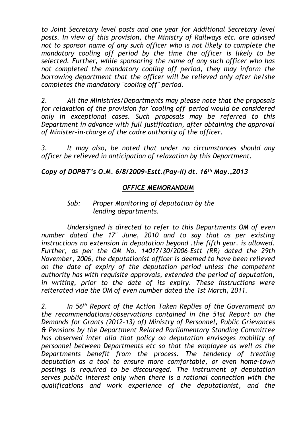*to Joint Secretary level posts and one year for Additional Secretary level posts. In view of this provision, the Ministry of Railways etc. are advised not to sponsor name of any such officer who is not likely to complete the mandatory cooling off period by the time the officer is likely to be selected. Further, while sponsoring the name of any such officer who has not completed the mandatory cooling off period, they may inform the borrowing department that the officer will be relieved only after he/she completes the mandatory "cooling off" period.* 

*2. All the Ministries/Departments may please note that the proposals for relaxation of the provision for 'cooling off' period would be considered only in exceptional cases. Such proposals may be referred to this Department in advance with full justification, after obtaining the approval of Minister-in-charge of the cadre authority of the officer.* 

*3. It may also, be noted that under no circumstances should any officer be relieved in anticipation of relaxation by this Department.*

## *Copy of DOP&T's O.M. 6/8/2009-Estt.(Pay-II) dt. 16th May.,2013*

## *OFFICE MEMORANDUM*

#### *Sub: Proper Monitoring of deputation by the lending departments.*

*Undersigned is directed to refer to this Departments OM of even number dated the 17" June, 2010 and to say that as per existing instructions no extension in deputation beyond .the fifth year. is allowed. Further, as per the OM No. 14017/30/2006-Estt (RR) dated the 29th November, 2006, the deputationist officer is deemed to have been relieved on the date of expiry of the deputation period unless the competent authority has with requisite approvals, extended the period of deputation, in writing, prior to the date of its expiry. These instructions were reiterated vide the OM of even number dated the 1st March, 2011.* 

*2. In 56th Report of the Action Taken Replies of the Government on the recommendations/observations contained in the 51st Report on the Demands for Grants (2012-13) of) Ministry of Personnel, Public Grievances & Pensions by the Department Related Parliamentary Standing Committee has observed inter alia that policy on deputation envisages mobility of personnel between Departments etc so that the employee as well as the Departments benefit from the process. The tendency of treating deputation as a tool to ensure more comfortable, or even home-town postings is required to be discouraged. The instrument of deputation serves public interest only when there is a rational connection with the qualifications and work experience of the deputationist, and the*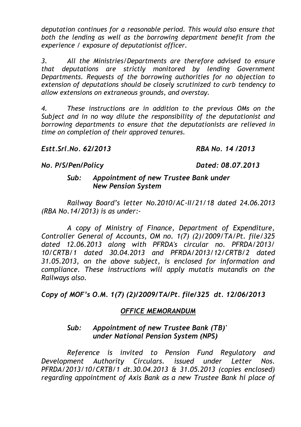*deputation continues for a reasonable period. This would also ensure that both the lending as well as the borrowing department benefit from the experience / exposure of deputationist officer.* 

*3. All the Ministries/Departments are therefore advised to ensure that deputations are strictly monitored by lending Government Departments. Requests of the borrowing authorities for no objection to extension of deputations should be closely scrutinized to curb tendency to allow extensions on extraneous grounds, and overstay.*

*4. These instructions are in addition to the previous OMs on the Subject and in no way dilute the responsibility of the deputationist and borrowing departments to ensure that the deputationists are relieved in time on completion of their approved tenures.*

#### *Estt.Srl.No. 62/2013 RBA No. 14 /2013*

*No. P/S/Pen/Policy Dated: 08.07.2013*

## *Sub: Appointment of new Trustee Bank under New Pension System*

*Railway Board's letter No.2010/AC-II/21/18 dated 24.06.2013 (RBA No.14/2013) is as under:-*

*A copy of Ministry of Finance, Department of Expenditure, Controller General of Accounts, OM no. 1(7) (2)/2009/TA/Pt. file/325 dated 12.06.2013 along with PFRDA's circular no. PFRDA/2013/ 10/CRTB/1 dated 30.04.2013 and PFRDA/2013/12/CRTB/2 dated 31.05.2013, on the above subject, is enclosed for information and compliance. These instructions will apply mutatis mutandis on the Railways also.* 

*Copy of MOF's O.M. 1(7) (2)/2009/TA/Pt. file/325 dt. 12/06/2013*

# *OFFICE MEMORANDUM*

## *Sub: Appointment of new Trustee Bank (TB)' under National Pension System (NPS)*

*Reference is invited to Pension Fund Regulatory and Development Authority Circulars. issued under Letter Nos. PFRDA/2013/10/CRTB/1 dt.30.04.2013 & 31.05.2013 (copies enclosed) regarding appointment of Axis Bank as a new Trustee Bank hi place of*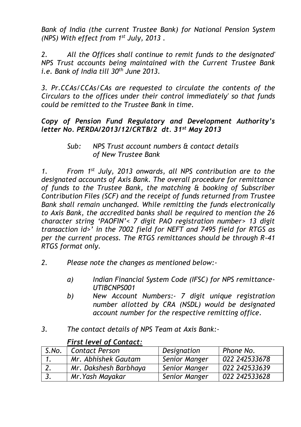*Bank of India (the current Trustee Bank) for National Pension System (NPS) With effect from 1 st July, 2013 .* 

*2. All the Offices shall continue to remit funds to the designated' NPS Trust accounts being maintained with the Current Trustee Bank i.e. Bank of India till 30th June 2013.* 

*3. Pr.CCAs/CCAs/CAs are requested to circulate the contents of the Circulars to the offices under their control immediately' so that funds could be remitted to the Trustee Bank in time.* 

## *Copy of Pension Fund Regulatory and Development Authority's letter No. PERDA/2013/12/CRTB/2 dt. 31st May 2013*

*1. From 1 st July, 2013 onwards, all NPS contribution are to the designated accounts of Axis Bank. The overall procedure for remittance of funds to the Trustee Bank, the matching & booking of Subscriber Contribution Files (SCF) and the receipt of funds returned from Trustee Bank shall remain unchanged. While remitting the funds electronically to Axis Bank, the accredited banks shall be required to mention the 26 character string 'PAOFIN'< 7 digit PAO registration number> 13 digit transaction id>' in the 7002 field for NEFT and 7495 field for RTGS as per the current process. The RTGS remittances should be through R-41 RTGS format only.*

- *2. Please note the changes as mentioned below:*
	- *a) Indian Financial System Code (IFSC) for NPS remittance-UTIBCNPS001*
	- *b) New Account Numbers:- 7 digit unique registration number allotted by CRA (NSDL) would be designated account number for the respective remitting office.*
- *3. The contact details of NPS Team at Axis Bank:-*

| S.No. | Contact Person        | Designation   | Phone No.     |
|-------|-----------------------|---------------|---------------|
| . .   | Mr. Abhishek Gautam   | Senior Manger | 022 242533678 |
|       | Mr. Dakshesh Barbhaya | Senior Manger | 022 242533639 |
| دک    | Mr. Yash Mayakar      | Senior Manger | 022 242533628 |

#### *First level of Contact:*

*Sub: NPS Trust account numbers & contact details of New Trustee Bank*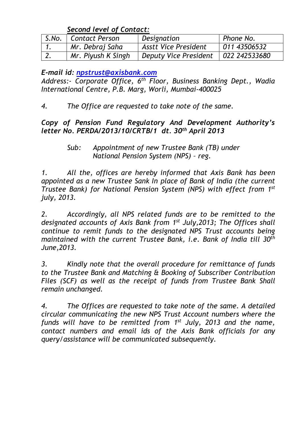*Second level of Contact:*

| S.No.   Contact Person | Designation           | Phone No.            |
|------------------------|-----------------------|----------------------|
| Mr. Debraj Saha        | Asstt Vice President  | 101143506532         |
| Mr. Piyush K Singh     | Deputy Vice President | $\mid$ 022 242533680 |

*E-mail id: [npstrust@axisbank.com](mailto:npstrust@axisbank.com)*

*Address:- Corporate Office, 6th Floor, Business Banking Dept., Wadia International Centre, P.B. Marg, Worli, Mumbai-400025*

*4. The Office are requested to take note of the same.*

*Copy of Pension Fund Regulatory And Development Authority's letter No. PERDA/2013/10/CRTB/1 dt. 30th April 2013*

> *Sub: Appointment of new Trustee Bank (TB) under National Pension System (NPS) – reg.*

*1. All the, offices are hereby informed that Axis Bank has been appointed as a new Trustee Sank In place of Bank of India (the current Trustee Bank) for National Pension System (NPS) with effect from 1st july, 2013.*

*2. Accordingly, all NPS related funds are to be remitted to the designated accounts of Axis Bank from 1 st July,2013; The Offices shall continue to remit funds to the designated NPS Trust accounts being maintained with the current Trustee Bank, i.e. Bank of India till 30th June,2013.*

*3. Kindly note that the overall procedure for remittance of funds to the Trustee Bank and Matching & Booking of Subscriber Contribution Files (SCF) as well as the receipt of funds from Trustee Bank Shall remain unchanged.* 

*4. The Offices are requested to take note of the same. A detailed circular communicating the new NPS Trust Account numbers where the funds will have to be remitted from 1 st July, 2013 and the name, contact numbers and email ids of the Axis Bank officials for any query/assistance will be communicated subsequently.*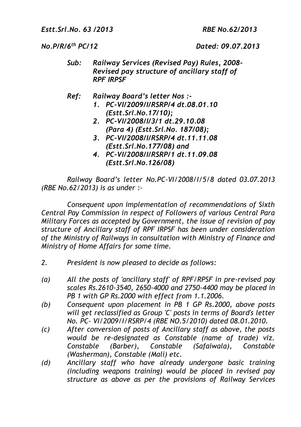*Estt.Srl.No. 63 /2013 RBE No.62/2013*

*No.P/R/6th PC/12 Dated: 09.07.2013*

- *Sub: Railway Services (Revised Pay) Rules, 2008- Revised pay structure of ancillary staff of RPF IRPSF*
- *Ref: Railway Board's letter Nos :- 1. PC-VI/2009/I/RSRP/4 dt.08.01.10 (Estt.Srl.No.17/10);*
	- *2. PC-VI/2008/I/3/1 dt.29.10.08 (Para 4) (Estt.Srl.No. 187/08);*
	- *3. PC-VI/2008/I/RSRP/4 dt.11.11.08 (Estt.Srl.No.177/08) and*
	- *4. PC-VI/2008/I/RSRP/1 dt.11.09.08 (Estt.Srl.No.126/08)*

*Railway Board's letter No.PC-VI/2008/I/5/8 dated 03.07.2013 (RBE No.62/2013) is as under :-*

*Consequent upon implementation of recommendations of Sixth Central Pay Commission in respect of Followers of various Central Para Military Forces as accepted by Government, the issue of revision of pay structure of Ancillary staff of RPF IRPSF has been under consideration of the Ministry of Railways in consultation with Ministry of Finance and Ministry of Home Affairs for some time.* 

- *2. President is now pleased to decide as follows:*
- *(a) All the posts of 'ancillary staff' of RPF/RPSF in pre-revised pay scales Rs.2610-3540, 2650-4000 and 2750-4400 may be placed in PB 1 with GP Rs.2000 with effect from 1.1.2006.*
- *(b) Consequent upon placement in PB 1 GP Rs.2000, above posts will get reclassified as Group 'C' posts in terms of Board's letter No. PC- VI/2009/I/RSRP/4 (RBE NO.5/2010) dated 08.01.2010.*
- *(c) After conversion of posts of Ancillary staff as above, the posts would be re-designated as Constable (name of trade) viz. Constable (Barber), Constable (Safaiwala), Constable (Washerman), Constable (Mali) etc.*
- *(d) Ancillary staff who have already undergone basic training (including weapons training) would be placed in revised pay structure as above as per the provisions of Railway Services*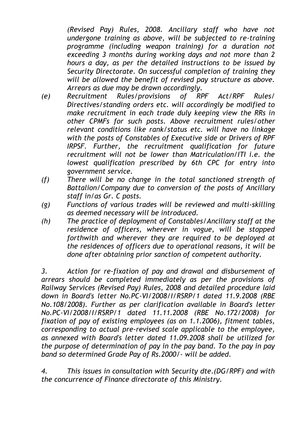*(Revised Pay) Rules, 2008. Ancillary staff who have not undergone training as above, will be subjected to re-training programme (including weapon training) for a duration not exceeding 3 months during working days and not more than 2 hours a day, as per the detailed instructions to be issued by Security Directorate. On successful completion of training they will be allowed the benefit of revised pay structure as above. Arrears as due may be drawn accordingly.*

- *(e) Recruitment Rules/provisions of RPF Act/RPF Rules/ Directives/standing orders etc. will accordingly be modified to make recruitment in each trade duly keeping view the RRs in other CPMFs for such posts. Above recruitment rules/other relevant conditions like rank/status etc. will have no linkage with the posts of Constables of Executive side or Drivers of RPF IRPSF. Further, the recruitment qualification for future recruitment will not be lower than Matriculation/ITI i.e. the lowest qualification prescribed by 6th CPC for entry into government service.*
- *(f) There will be no change in the total sanctioned strength of Battalion/Company due to conversion of the posts of Ancillary staff in/as Gr. C posts.*
- *(g) Functions of various trades will be reviewed and multi-skilling as deemed necessary will be introduced.*
- *(h) The practice of deployment of Constables/Ancillary staff at the residence of officers, wherever in vogue, will be stopped forthwith and wherever they are required to be deployed at the residences of officers due to operational reasons, it will be done after obtaining prior sanction of competent authority.*

*3. Action for re-fixation of pay and drawal and disbursement of arrears should be completed immediately as per the provisions of Railway Services (Revised Pay) Rules, 2008 and detailed procedure laid down in Board's letter No.PC-VI/2008/I/RSRP/1 dated 11.9.2008 (RBE No.108/2008). Further as per clarification available in Board's letter No.PC-VI/2008/I/RSRP/1 dated 11.11.2008 (RBE No.172/2008) for fixation of pay of existing employees (as on 1.1.2006), fitment tables, corresponding to actual pre-revised scale applicable to the employee, as annexed with Board's letter dated 11.09.2008 shall be utilized for the purpose of determination of pay in the pay band. To the pay in pay band so determined Grade Pay of Rs.2000/- will be added.* 

*4. This issues in consultation with Security dte.(DG/RPF) and with the concurrence of Finance directorate of this Ministry.*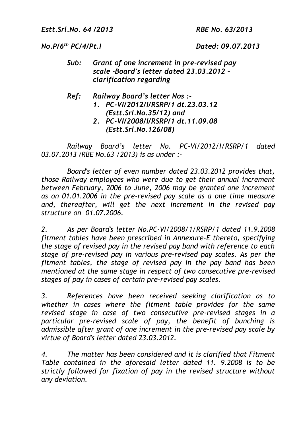*Estt.Srl.No. 64 /2013 RBE No. 63/2013*

*No.P/6th PC/4/Pt.I Dated: 09.07.2013*

- *Sub: Grant of one increment in pre-revised pay scale -Board's letter dated 23.03.2012 – clarification regarding*
- *Ref: Railway Board's letter Nos :- 1. PC-VI/2012/I/RSRP/1 dt.23.03.12 (Estt.Srl.No.35/12) and 2. PC-VI/2008/I/RSRP/1 dt.11.09.08 (Estt.Srl.No.126/08)*

*Railway Board's letter No. PC-VI/2012/I/RSRP/1 dated 03.07.2013 (RBE No.63 /2013) is as under :-*

*Board's letter of even number dated 23.03.2012 provides that, those Railway employees who were due to get their annual increment between February, 2006 to June, 2006 may be granted one increment as on 01.01.2006 in the pre-revised pay scale as a one time measure and, thereafter, will get the next increment in the revised pay structure on 01.07.2006.* 

*2. As per Board's letter No.PC-VI/2008/1/RSRP/1 dated 11.9.2008 fitment tables have been prescribed in Annexure-E thereto, specifying the stage of revised pay in the revised pay band with reference to each stage of pre-revised pay in various pre-revised pay scales. As per the fitment tables, the stage of revised pay in the pay band has been mentioned at the same stage in respect of two consecutive pre-revised stages of pay in cases of certain pre-revised pay scales.*

*3. References have been received seeking clarification as to whether in cases where the fitment table provides for the same revised stage in case of two consecutive pre-revised stages in a particular pre-revised scale of pay, the benefit of bunching is admissible after grant of one increment in the pre-revised pay scale by virtue of Board's letter dated 23.03.2012.*

*4. The matter has been considered and it is clarified that Fitment Table contained in the aforesaid letter dated 11. 9.2008 is to be strictly followed for fixation of pay in the revised structure without any deviation.*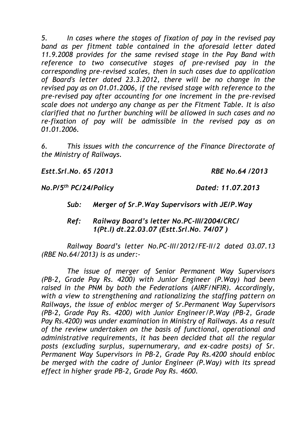*5. In cases where the stages of fixation of pay in the revised pay band as per fitment table contained in the aforesaid letter dated 11.9.2008 provides for the same revised stage in the Pay Band with reference to two consecutive stages of pre-revised pay in the corresponding pre-revised scales, then in such cases due to application of Board's letter dated 23.3.2012, there will be no change in the revised pay as on 01.01.2006, if the revised stage with reference to the pre-revised pay after accounting for one increment in the pre-revised scale does not undergo any change as per the Fitment Table. It is also clarified that no further bunching will be allowed in such cases and no re-fixation of pay will be admissible in the revised pay as on 01.01.2006.* 

*6. This issues with the concurrence of the Finance Directorate of the Ministry of Railways.*

*Estt.Srl.No. 65 /2013 RBE No.64 /2013*

*No.P/5th PC/24/Policy Dated: 11.07.2013*

*Sub: Merger of Sr.P.Way Supervisors with JE/P.Way*

#### *Ref: Railway Board's letter No.PC-III/2004/CRC/ 1(Pt.I) dt.22.03.07 (Estt.Srl.No. 74/07 )*

*Railway Board's letter No.PC-III/2012/FE-II/2 dated 03.07.13 (RBE No.64/2013) is as under:-*

*The issue of merger of Senior Permanent Way Supervisors (PB-2, Grade Pay Rs. 4200) with Junior Engineer (P.Way) had been raised in the PNM by both the Federations (AIRF/NFIR). Accordingly, with a view to strengthening and rationalizing the staffing pattern on Railways, the issue of enbloc merger of Sr.Permanent Way Supervisors (PB-2, Grade Pay Rs. 4200) with Junior Engineer/P.Way (PB-2, Grade Pay Rs.4200) was under examination in Ministry of Railways. As a result of the review undertaken on the basis of functional, operational and administrative requirements, it has been decided that all the regular posts (excluding surplus, supernumerary, and ex-cadre posts) of Sr. Permanent Way Supervisors in PB-2, Grade Pay Rs.4200 should enbloc be merged with the cadre of Junior Engineer (P.Way) with its spread effect in higher grade PB-2, Grade Pay Rs. 4600.*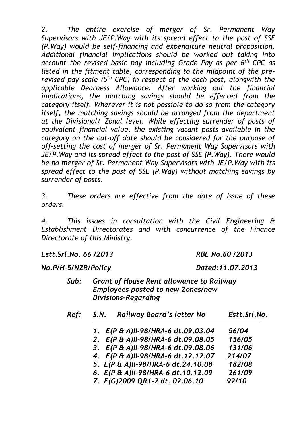*2. The entire exercise of merger of Sr. Permanent Way Supervisors with JE/P.Way with its spread effect to the post of SSE (P.Way) would be self-financing and expenditure neutral proposition. Additional financial implications should be worked out taking into account the revised basic pay including Grade Pay as per 6th CPC as listed in the fitment table, corresponding to the midpoint of the prerevised pay scale (5 th CPC) in respect of the each post, alongwith the applicable Dearness Allowance. After working out the financial implications, the matching savings should be effected from the category itself. Wherever it is not possible to do so from the category itself, the matching savings should be arranged from the department at the Divisional/ Zonal level. While effecting surrender of posts of equivalent financial value, the existing vacant posts available in the category on the cut-off date should be considered for the purpose of off-setting the cost of merger of Sr. Permanent Way Supervisors with JE/P.Way and its spread effect to the post of SSE (P.Way). There would be no merger of Sr. Permanent Way Supervisors with JE/P.Way with its spread effect to the post of SSE (P.Way) without matching savings by surrender of posts.* 

*3. These orders are effective from the date of Issue of these orders.* 

*4. This issues in consultation with the Civil Engineering & Establishment Directorates and with concurrence of the Finance Directorate of this Ministry.*

*Estt.Srl.No. 66 /2013 RBE No.60 /2013*

*No.P/H-5/NZR/Policy Dated:11.07.2013*

*Sub: Grant of House Rent allowance to Railway Employees posted to new Zones/new Divisions-Regarding*

| Ref: | S.N. | Railway Board's letter No          | Estt.Srl.No. |
|------|------|------------------------------------|--------------|
|      |      | 1. E(P & A)II-98/HRA-6 dt.09.03.04 | 56/04        |
|      |      | 2. E(P & A)II-98/HRA-6 dt.09.08.05 | 156/05       |
|      |      | 3. E(P & A)II-98/HRA-6 dt.09.08.06 | 131/06       |
|      |      | 4. E(P & A)II-98/HRA-6 dt.12.12.07 | 214/07       |
|      |      | 5. E(P & A)II-98/HRA-6 dt.24.10.08 | 182/08       |
|      |      | 6. E(P & A)II-98/HRA-6 dt.10.12.09 | 261/09       |
|      |      | 7. E(G)2009 QR1-2 dt. 02.06.10     | 92/10        |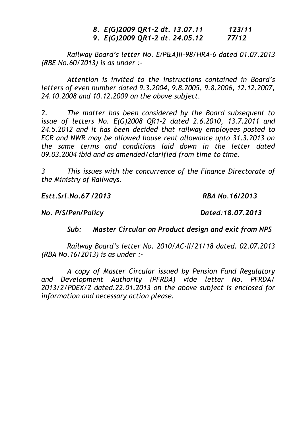#### *8. E(G)2009 QR1-2 dt. 13.07.11 123/11 9.* E(G)2009 QR1-2 dt. 24.05.12

*Railway Board's letter No. E(P&A)II-98/HRA-6 dated 01.07.2013 (RBE No.60/2013) is as under :-*

*Attention is invited to the instructions contained in Board's letters of even number dated 9.3.2004, 9.8.2005, 9.8.2006, 12.12.2007, 24.10.2008 and 10.12.2009 on the above subject.* 

*2. The matter has been considered by the Board subsequent to issue of letters No. E(G)2008 QR1-2 dated 2.6.2010, 13.7.2011 and 24.5.2012 and it has been decided that railway employees posted to ECR and NWR may be allowed house rent allowance upto 31.3.2013 on the same terms and conditions laid down in the letter dated 09.03.2004 ibid and as amended/clarified from time to time.* 

*3 This issues with the concurrence of the Finance Directorate of the Ministry of Railways.*

*Estt.Srl.No.67 /2013 RBA No.16/2013*

*No. P/S/Pen/Policy Dated:18.07.2013*

*Sub: Master Circular on Product design and exit from NPS*

*Railway Board's letter No. 2010/AC-II/21/18 dated. 02.07.2013 (RBA No.16/2013) is as under :-*

*A copy of Master Circular issued by Pension Fund Regulatory and Development Authority (PFRDA) vide letter No. PFRDA/ 2013/2/PDEX/2 dated.22.01.2013 on the above subject is enclosed for information and necessary action please.*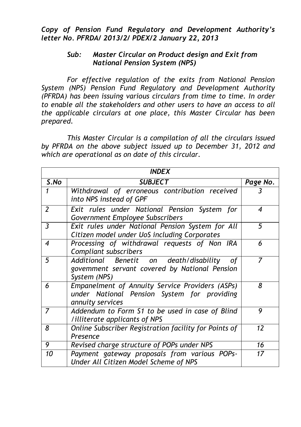*Copy of Pension Fund Regulatory and Development Authority's letter No. PFRDA/ 2013/2/ PDEX/2 January 22, 2013*

#### *Sub: Master Circular on Product design and Exit from National Pension System (NPS)*

*For effective regulation of the exits from National Pension System (NPS) Pension Fund Regulatory and Development Authority (PFRDA) has been issuing various circulars from time to time. In order to enable all the stakeholders and other users to have an access to all the applicable circulars at one place, this Master Circular has been prepared.*

*This Master Circular is a compilation of all the circulars issued by PFRDA on the above subject issued up to December 31, 2012 and which are operational as on date of this circular.*

|                | <b>INDEX</b>                                                                                                       |          |
|----------------|--------------------------------------------------------------------------------------------------------------------|----------|
| S.No           | <b>SUBJECT</b>                                                                                                     | Page No. |
|                | Withdrawal of erroneous contribution received<br>into NPS instead of GPF                                           | 3        |
| $\overline{2}$ | Exit rules under National Pension System for<br>Government Employee Subscribers                                    | 4        |
| 3              | Exit rules under National Pension System for All<br>Citizen model under UoS including Corporates                   | 5        |
| 4              | Processing of withdrawal requests of Non IRA<br>Compliant subscribers                                              | 6        |
| 5              | Additional Benetit on death/disability<br>of<br>govemment servant covered by National Pension<br>System (NPS)      | 7        |
| 6              | Empanelment of Annuity Service Providers (ASPs)<br>under National Pension System for providing<br>annuity services | 8        |
| 7              | Addendum to Form S1 to be used in case of Blind<br>/illiterate applicants of NPS                                   | 9        |
| 8              | Online Subscriber Registration facility for Points of<br>Presence                                                  | 12       |
| 9              | Revised charge structure of POPs under NPS                                                                         | 16       |
| 10             | Payment gateway proposals from various POPs-<br>Under All Citizen Model Scheme of NPS                              | 17       |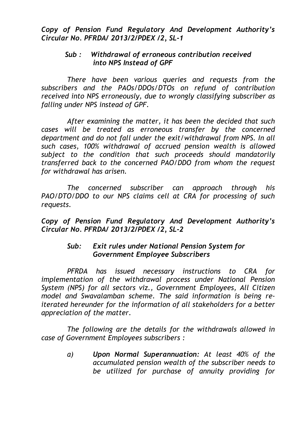*Copy of Pension Fund Regulatory And Development Authority's Circular No. PFRDA/ 2013/2/PDEX /2, SL-1*

## *Sub : Withdrawal of erroneous contribution received into NPS Instead of GPF*

*There have been various queries and requests from the subscribers and the PAOs/DDOs/DTOs on refund of contribution received into NPS erroneously, due to wrongly classifying subscriber as falling under NPS instead of GPF.*

*After examining the matter, it has been the decided that such cases will be treated as erroneous transfer by the concerned department and do not fall under the exit/withdrawal from NPS. In all such cases, 100% withdrawal of accrued pension wealth is allowed subject to the condition that such proceeds should mandatorily transferred back to the concerned PAO/DDO from whom the request for withdrawal has arisen.*

*The concerned subscriber can approach through his PAO/DTO/DDO to our NPS claims cell at CRA for processing of such requests.*

*Copy of Pension Fund Regulatory And Development Authority's Circular No. PFRDA/ 2013/2/PDEX /2, SL-2*

## *Sub: Exit rules under National Pension System for Government Employee Subscribers*

*PFRDA has issued necessary instructions to CRA for implementation of the withdrawal process under National Pension System (NPS) for all sectors viz., Government Employees, All Citizen model and Swavalamban scheme. The said information is being reiterated hereunder for the information of all stakeholders for a better appreciation of the matter.*

*The following are the details for the withdrawals allowed in case of Government Employees subscribers :*

> *a) Upon Normal Superannuation: At least 40% of the accumulated pension wealth of the subscriber needs to be utilized for purchase of annuity providing for*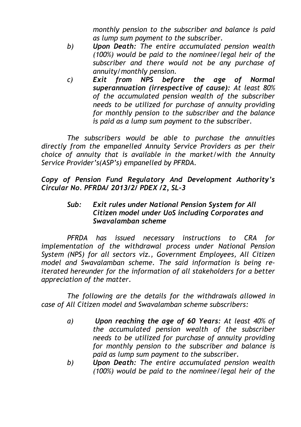*monthly pension to the subscriber and balance is paid as lump sum payment to the subscriber.*

- *b) Upon Death: The entire accumulated pension wealth (100%) would be paid to the nominee/legal heir of the subscriber and there would not be any purchase of annuity/monthly pension.*
- *c) Exit from NPS before the age of Normal superannuation (irrespective of cause): At least 80% of the accumulated pension wealth of the subscriber needs to be utilized for purchase of annuity providing for monthly pension to the subscriber and the balance is paid as a lump sum payment to the subscriber.*

*The subscribers would be able to purchase the annuities directly from the empanelled Annuity Service Providers as per their choice of annuity that is available in the market/with the Annuity Service Provider's(ASP's) empanelled by PFRDA.*

*Copy of Pension Fund Regulatory And Development Authority's Circular No. PFRDA/ 2013/2/ PDEX /2, SL-3*

## *Sub: Exit rules under National Pension System for All Citizen model under UoS including Corporates and Swavalamban scheme*

*PFRDA has issued necessary instructions to CRA for implementation of the withdrawal process under National Pension System (NPS) for all sectors viz., Government Employees, All Citizen model and Swavalamban scheme. The said information is being reiterated hereunder for the information of all stakeholders for a better appreciation of the matter.*

*The following are the details for the withdrawals allowed in case of All Citizen model and Swavalamban scheme subscribers:*

- *a) Upon reaching the age of 60 Years: At least 40% of the accumulated pension wealth of the subscriber needs to be utilized for purchase of annuity providing for monthly pension to the subscriber and balance is paid as lump sum payment to the subscriber.*
- *b) Upon Death: The entire accumulated pension wealth (100%) would be paid to the nominee/legal heir of the*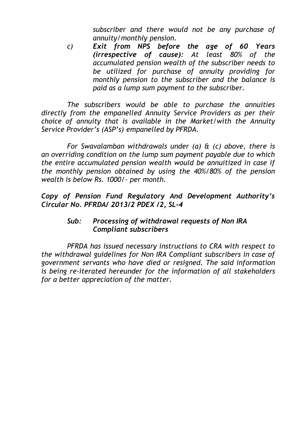*subscriber and there would not be any purchase of annuity/monthly pension.*

*c) Exit from NPS before the age of 60 Years (irrespective of cause): At least 80% of the accumulated pension wealth of the subscriber needs to be utilized for purchase of annuity providing for monthly pension to the subscriber and the balance is paid as a lump sum payment to the subscriber.*

*The subscribers would be able to purchase the annuities directly from the empanelled Annuity Service Providers as per their choice of annuity that is available in the Market/with the Annuity Service Provider's (ASP's) empanelled by PFRDA.*

*For Swavalamban withdrawals under (a) & (c) above, there is an overriding condition on the lump sum payment payable due to which the entire accumulated pension wealth would be annuitized in case if the monthly pension obtained by using the 40%/80% of the pension wealth is below Rs. 1000/- per month.*

*Copy of Pension Fund Regulatory And Development Authority's Circular No. PFRDA/ 2013/2 PDEX /2, SL-4*

## *Sub: Processing of withdrawal requests of Non IRA Compliant subscribers*

*PFRDA has issued necessary instructions to CRA with respect to the withdrawal guidelines for Non IRA Compliant subscribers in case of government servants who have died or resigned. The said information is being re-iterated hereunder for the information of all stakeholders for a better appreciation of the matter.*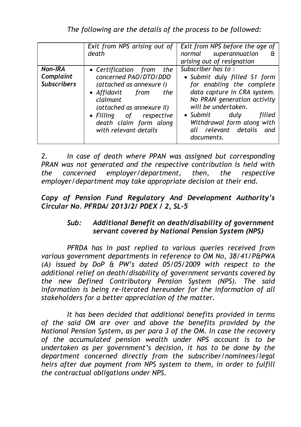*The following are the details of the process to be followed:*

|                                                   | Exit from NPS arising out of<br>death                                                                                                                                                                                                 | Exit from NPS before the age of<br>superannuation<br>normal<br>æ<br>arising out of resignation                                                                                                                                                                                           |
|---------------------------------------------------|---------------------------------------------------------------------------------------------------------------------------------------------------------------------------------------------------------------------------------------|------------------------------------------------------------------------------------------------------------------------------------------------------------------------------------------------------------------------------------------------------------------------------------------|
| <b>Non-IRA</b><br>Complaint<br><b>Subscribers</b> | • Certification from<br>the<br>concerned PAO/DTO/DDO<br>(attached as annexure I)<br>• Affidavit<br>from<br>the<br>claimant<br>(attached as annexure II)<br>• Filling of respective<br>death claim form along<br>with relevant details | Subscriber has to:<br>• Submit duly filled S1 form<br>for enabling the complete<br>data capture in CRA system.<br>No PRAN generation activity<br>will be undertaken.<br>$\bullet$ Submit<br>dulv<br>filled<br>Withdrawal form along with<br>relevant details<br>all<br>and<br>documents. |

*2. In case of death where PPAN was assigned but corresponding PRAN was not generated and the respective contribution is held with the concerned employer/department, then, the respective employer/department may take appropriate decision at their end.*

## *Copy of Pension Fund Regulatory And Development Authority's Circular No. PFRDA/ 2013/2/ PDEX / 2, SL-5*

# *Sub: Additional Benefit on death/disability of government servant covered by National Pension System (NPS)*

*PFRDA has in past replied to various queries received from various government departments in reference to OM No, 38/41/P&PWA (A) issued by DoP & PW's dated 05/05/2009 with respect to the additional relief on death/disability of government servants covered by the new Defined Contributory Pension System (NPS). The said information is being re-iterated hereunder for the information of all stakeholders for a better appreciation of the matter.*

*It has been decided that additional benefits provided in terms of the said OM are over and above the benefits provided by the National Pension System, as per para 3 of the OM. In case the recovery of the accumulated pension wealth under NPS account is to be undertaken as per government's decision, it has to be done by the department concerned directly from the subscriber/nominees/legal heirs after due payment from NPS system to them, in order to fulfill the contractual obligations under NPS.*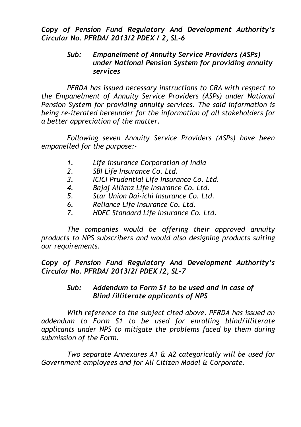*Copy of Pension Fund Regulatory And Development Authority's Circular No. PFRDA/ 2013/2 PDEX / 2, SL-6*

## *Sub: Empanelment of Annuity Service Providers (ASPs) under National Pension System for providing annuity services*

*PFRDA has issued necessary instructions to CRA with respect to the Empanelment of Annuity Service Providers (ASPs) under National Pension System for providing annuity services. The said information is being re-iterated hereunder for the information of all stakeholders for a better appreciation of the matter.*

*Following seven Annuity Service Providers (ASPs) have been empanelled for the purpose:-*

- *1. Life insurance Corporation of India*
- *2. SBI Life Insurance Co. Ltd.*
- *3. ICICI Prudential Life Insurance Co. Ltd.*
- *4. Bajaj Allianz Life Insurance Co. Ltd.*
- *5. Star Union Dai-ichi Insurance Co. Ltd.*
- *6. Reliance Life Insurance Co. Ltd.*
- *7. HDFC Standard Life Insurance Co. Ltd.*

*The companies would be offering their approved annuity products to NPS subscribers and would also designing products suiting our requirements.*

*Copy of Pension Fund Regulatory And Development Authority's Circular No. PFRDA/ 2013/2/ PDEX /2, SL-7*

#### *Sub: Addendum to Form S1 to be used and in case of Blind /illiterate applicants of NPS*

*With reference to the subject cited above. PFRDA has issued an addendum to Form S1 to be used for enrolling blind/illiterate applicants under NPS to mitigate the problems faced by them during submission of the Form.*

*Two separate Annexures A1 & A2 categorically will be used for Government employees and for All Citizen Model & Corporate.*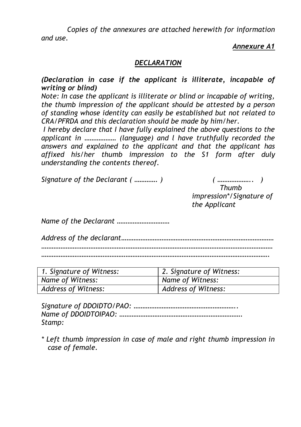*Copies of the annexures are attached herewith for information and use.*

## *Annexure A1*

## *DECLARATION*

## *(Declaration in case if the applicant is illiterate, incapable of writing or blind)*

*Note: In case the applicant is illiterate or blind or incapable of writing, the thumb impression of the applicant should be attested by a person of standing whose identity can easily be established but not related to CRA/PFRDA and this declaration should be made by him/her.*

*I hereby declare that I have fully explained the above questions to the applicant in ……………… (language) and l have truthfully recorded the answers and explained to the applicant and that the applicant has affixed his/her thumb impression to the S1 form after duly understanding the contents thereof.*

*Signature of the Declarant ( …………. ) ( ……………….. )*

 *Thumb impression\*/Signature of the Applicant*

*Name of the Declarant …………………………*

*Address of the declarant…………………………………………………………………………… …………………………………………………………………………………………………………………… ………………………………………………………………………………………………………………….*

| 1. Signature of Witness: | 2. Signature of Witness: |
|--------------------------|--------------------------|
| Name of Witness:         | Name of Witness:         |
| Address of Witness:      | Address of Witness:      |

*Signature of DDOIDTO/PAO: ………………………………………………….. Name of DDOIDTOIPAO: ……………………………………………………………. Stamp:*

*\* Left thumb impression in case of male and right thumb impression in case of female.*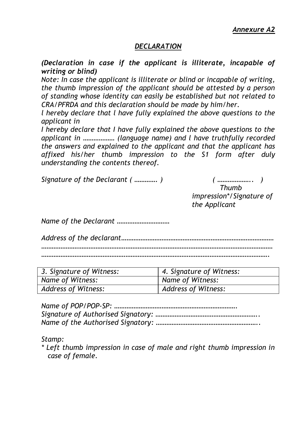## *DECLARATION*

*(Declaration in case if the applicant is illiterate, incapable of writing or blind)*

*Note: In case the applicant is illiterate or blind or incapable of writing, the thumb impression of the applicant should be attested by a person of standing whose identity can easily be established but not related to CRA/PFRDA and this declaration should be made by him/her.*

*l hereby declare that l have fully explained the above questions to the applicant in*

*I hereby declare that I have fully explained the above questions to the applicant in ……………… (language name) and l have truthfully recorded the answers and explained to the applicant and that the applicant has affixed his/her thumb impression to the S1 form after duly understanding the contents thereof.*

*Signature of the Declarant ( …………. ) ( ……………….. )*

 *Thumb impression\*/Signature of the Applicant*

*Name of the Declarant …………………………*

*Address of the declarant…………………………………………………………………………… …………………………………………………………………………………………………………………… ………………………………………………………………………………………………………………….*

| 3. Signature of Witness: | 4. Signature of Witness: |
|--------------------------|--------------------------|
| Name of Witness:         | Name of Witness:         |
| Address of Witness:      | Address of Witness:      |

*Name of POP/POP-SP: ……………………………………………………………. Signature of Authorised Signatory: ………………………………………………….. Name of the Authorised Signatory: …………………………………………………..*

*Stamp:*

*\* Left thumb impression in case of male and right thumb impression in case of female.*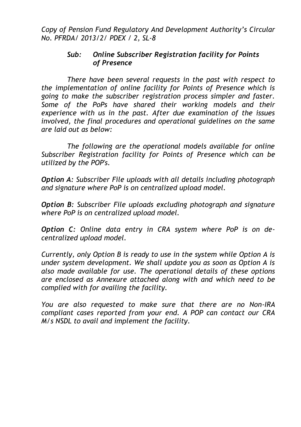*Copy of Pension Fund Regulatory And Development Authority's Circular No. PFRDA/ 2013/2/ PDEX / 2, SL-8*

## *Sub: Online Subscriber Registration facility for Points of Presence*

*There have been several requests in the past with respect to the implementation of online facility for Points of Presence which is going to make the subscriber registration process simpler and faster. Some of the PoPs have shared their working models and their experience with us in the past. After due examination of the issues involved, the final procedures and operational guidelines on the same are laid out as below:*

*The following are the operational models available for online Subscriber Registration facility for Points of Presence which can be utilized by the POP's.*

*Option A: Subscriber File uploads with all details including photograph and signature where PoP is on centralized upload model.*

*Option B: Subscriber File uploads excluding photograph and signature where PoP is on centralized upload model.*

*Option C: Online data entry in CRA system where PoP is on decentralized upload model.*

*Currently, only Option B is ready to use in the system while Option A is under system development. We shall update you as soon as Option A is also made available for use. The operational details of these options are enclosed as Annexure attached along with and which need to be complied with for availing the facility.*

*You are also requested to make sure that there are no Non-IRA compliant cases reported from your end. A POP can contact our CRA M/s NSDL to avail and implement the facility.*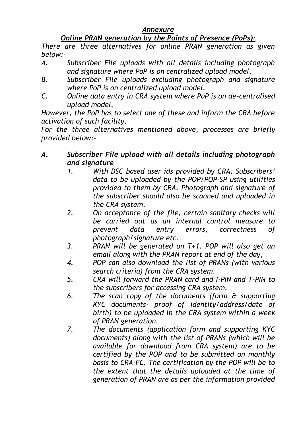#### *Annexure*

# *Online PRAN generation by the Points of Presence (PoPs):*

*There are three alternatives for online PRAN generation as given below:-*

- *A. Subscriber File uploads with all details including photograph and signature where PoP is on centralized upload model.*
- *B. Subscriber File uploads excluding photograph and signature where PoP is on centralized upload model.*
- *C. Online data entry in CRA system where PoP is on de-centralised upload model.*

*However, the PoP has to select one of these and inform the CRA before activation of such facility.*

*For the three alternatives mentioned above, processes are briefly provided below:-*

# *A. Subscriber File upload with all details including photograph and signature*

- *1. With DSC based user ids provided by CRA, Subscribers' data to be uploaded by the POP/POP-SP using utilities provided to them by CRA. Photograph and signature of the subscriber should also be scanned and uploaded in the CRA system.*
- *2. On acceptance of the file, certain sanitary checks will be carried out as an internal control measure to prevent data entry errors, correctness of photograph/signature etc.*
- *3. PRAN will be generated on T+1. POP will also get an email along with the PRAN report at end of the day,*
- *4. POP can also download the list of PRANs (with various search criteria) from the CRA system.*
- *5. CRA will forward the PRAN card and I-PIN and T-PIN to the subscribers for accessing CRA system.*
- *6. The scan copy of the documents (form & supporting KYC documents- proof of identity/address/date of birth) to be uploaded in the CRA system within a week of PRAN generation.*
- *7. The documents (application form and supporting KYC documents) along with the list of PRANs (which will be available for download from CRA system) are to be certified by the POP and to be submitted on monthly basis to CRA-FC. The certification by the POP will be to the extent that the details uploaded at the time of generation of PRAN are as per the information provided*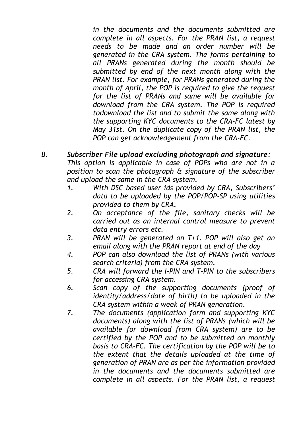*in the documents and the documents submitted are complete in all aspects. For the PRAN list, a request needs to be made and an order number will be generated in the CRA system. The forms pertaining to all PRANs generated during the month should be submitted by end of the next month along with the PRAN list. For example, for PRANs generated during the month of April, the POP is required to give the request for the list of PRANs and same will be available for download from the CRA system. The POP is required todownload the list and to submit the same along with the supporting KYC documents to the CRA-FC latest by May 31st. On the duplicate copy of the PRAN list, the POP can get acknowledgement from the CRA-FC.*

- *B. Subscriber File upload excluding photograph and signature: This option is applicable in case of POPs who are not in a position to scan the photograph & signature of the subscriber and upload the same in the CRA system.*
	- *1. With DSC based user ids provided by CRA, Subscribers' data to be uploaded by the POP/POP-SP using utilities provided to them by CRA.*
	- *2. On acceptance of the file, sanitary checks will be carried out as an internal control measure to prevent data entry errors etc.*
	- *3. PRAN will be generated on T+1. POP will also get an email along with the PRAN report at end of the day*
	- *4. POP can also download the list of PRANs (with various search criteria) from the CRA system.*
	- *5. CRA will forward the I-PIN and T-PIN to the subscribers for accessing CRA system.*
	- *6. Scan copy of the supporting documents (proof of identity/address/date of birth) to be uploaded in the CRA system within a week of PRAN generation.*
	- *7. The documents (application form and supporting KYC documents) along with the list of PRANs (which will be available for download from CRA system) are to be certified by the POP and to be submitted on monthly basis to CRA-FC. The certification by the POP will be to the extent that the details uploaded at the time of generation of PRAN are as per the information provided in the documents and the documents submitted are complete in all aspects. For the PRAN list, a request*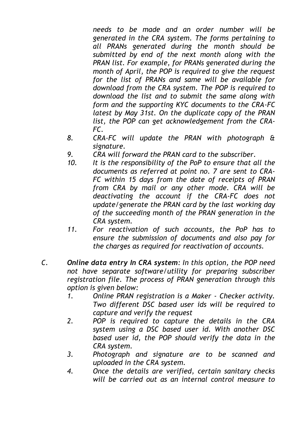*needs to be made and an order number will be generated in the CRA system. The forms pertaining to all PRANs generated during the month should be submitted by end of the next month along with the PRAN list. For example, for PRANs generated during the month of April, the POP is required to give the request for the list of PRANs and same will be available for download from the CRA system. The POP is required to download the list and to submit the same along with form and the supporting KYC documents to the CRA-FC latest by May 31st. On the duplicate copy of the PRAN list, the POP can get acknowledgement from the CRA-FC.*

- *8. CRA-FC will update the PRAN with photograph & signature.*
- *9. CRA will forward the PRAN card to the subscriber.*
- *10. It is the responsibility of the PoP to ensure that all the documents as referred at point no. 7 are sent to CRA-FC within 15 days from the date of receipts of PRAN from CRA by mail or any other mode. CRA will be deactivating the account if the CRA-FC does not update/generate the PRAN card by the last working day of the succeeding month of the PRAN generation in the CRA system.*
- *11. For reactivation of such accounts, the PoP has to ensure the submission of documents and also pay for the charges as required for reactivation of accounts.*
- *C. Online data entry In CRA system: In this option, the POP need not have separate software/utility for preparing subscriber registration file. The process of PRAN generation through this option is given below:*
	- *1. Online PRAN registration is a Maker - Checker activity. Two different DSC based user ids will be required to capture and verify the request*
	- *2. POP is required to capture the details in the CRA system using a DSC based user id. With another DSC based user id, the POP should verify the data in the CRA system.*
	- *3. Photograph and signature are to be scanned and uploaded in the CRA system.*
	- *4. Once the details are verified, certain sanitary checks will be carried out as an internal control measure to*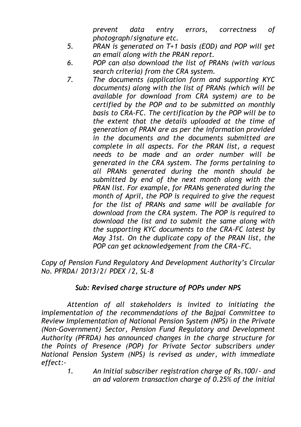*prevent data entry errors, correctness of photograph/signature etc.*

- *5. PRAN is generated on T+1 basis (EOD) and POP will get an email along with the PRAN report.*
- *6. POP can also download the list of PRANs (with various search criteria) from the CRA system.*
- *7. The documents (application form and supporting KYC documents) along with the list of PRANs (which will be available for download from CRA system) are to be certified by the POP and to be submitted on monthly basis to CRA-FC. The certification by the POP will be to the extent that the details uploaded at the time of generation of PRAN are as per the information provided in the documents and the documents submitted are complete in all aspects. For the PRAN list, a request needs to be made and an order number will be generated in the CRA system. The forms pertaining to all PRANs generated during the month should be submitted by end of the next month along with the PRAN list. For example, for PRANs generated during the month of April, the POP is required to give the request for the list of PRANs and same will be available for download from the CRA system. The POP is required to download the list and to submit the same along with the supporting KYC documents to the CRA-FC latest by May 31st. On the duplicate copy of the PRAN list, the POP can get acknowledgement from the CRA~FC.*

*Copy of Pension Fund Regulatory And Development Authority's Circular No. PFRDA/ 2013/2/ PDEX /2, SL-8*

# *Sub: Revised charge structure of POPs under NPS*

*Attention of all stakeholders is invited to initiating the implementation of the recommendations of the Bajpai Committee to Review Implementation of National Pension System (NPS) in the Private (Non-Government) Sector, Pension Fund Regulatory and Development Authority (PFRDA) has announced changes in the charge structure for the Points of Presence (POP) for Private Sector subscribers under National Pension System (NPS) is revised as under, with immediate effect:-*

*1. An Initial subscriber registration charge of Rs.100/- and an ad valorem transaction charge of 0.25% of the initial*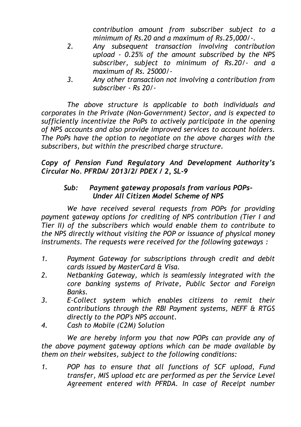*contribution amount from subscriber subject to a minimum of Rs.20 and a maximum of Rs.25,000/-.*

- *2. Any subsequent transaction involving contribution upload - 0.25% of the amount subscribed by the NPS subscriber, subject to minimum of Rs.20/- and a maximum of Rs. 25000/-*
- *3. Any other transaction not involving a contribution from subscriber - Rs 20/-*

*The above structure is applicable to both individuals and corporates in the Private (Non-Government) Sector, and is expected to sufficiently incentivize the PoPs to actively participate in the opening of NPS accounts and also provide improved services to account holders. The PoPs have the option to negotiate on the above charges with the subscribers, but within the prescribed charge structure.*

# *Copy of Pension Fund Regulatory And Development Authority's Circular No. PFRDA/ 2013/2/ PDEX / 2, SL-9*

## *Sub: Payment gateway proposals from various POPs-Under All Citizen Model Scheme of NPS*

*We have received several requests from POPs for providing payment gateway options for crediting of NPS contribution (Tier I and Tier II) of the subscribers which would enable them to contribute to the NPS directly without visiting the POP or issuance of physical money instruments. The requests were received for the following gateways :*

- *1. Payment Gateway for subscriptions through credit and debit cards issued by MasterCard & Visa.*
- *2. Netbanking Gateway, which is seamlessly integrated with the core banking systems of Private, Public Sector and Foreign Banks.*
- *3. E-Collect system which enables citizens to remit their contributions through the RBI Payment systems, NEFF & RTGS directly to the POP's NPS account.*
- *4. Cash to Mobile (C2M) Solution*

*We are hereby inform you that now POPs can provide any of the above payment gateway options which can be made available by them on their websites, subject to the following conditions:*

*1. POP has to ensure that all functions of SCF upload, Fund transfer, MIS upload etc are performed as per the Service Level Agreement entered with PFRDA. In case of Receipt number*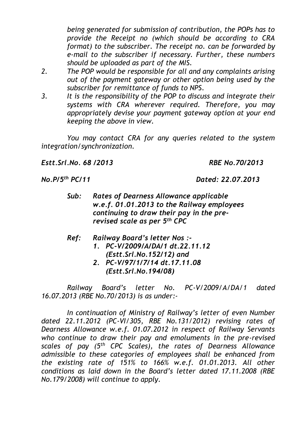*being generated for submission of contribution, the POPs has to provide the Receipt no (which should be according to CRA format) to the subscriber. The receipt no. can be forwarded by e-mail to the subscriber if necessary. Further, these numbers should be uploaded as part of the MIS.*

- *2. The POP would be responsible for all and any complaints arising out of the payment gateway or other option being used by the subscriber for remittance of funds to NPS.*
- *3. It is the responsibility of the POP to discuss and integrate their systems with CRA wherever required. Therefore, you may appropriately devise your payment gateway option at your end keeping the above in view.*

*You may contact CRA for any queries related to the system integration/synchronization.*

*Estt.Srl.No. 68 /2013 RBE No.70/2013*

*No.P/5th PC/11 Dated: 22.07.2013*

- *Sub: Rates of Dearness Allowance applicable w.e.f. 01.01.2013 to the Railway employees continuing to draw their pay in the prerevised scale as per 5th CPC*
- *Ref: Railway Board's letter Nos :- 1. PC-V/2009/A/DA/1 dt.22.11.12 (Estt.Srl.No.152/12) and*
	- *2. PC-V/97/1/7/14 dt.17.11.08 (Estt.Srl.No.194/08)*

*Railway Board's letter No. PC-V/2009/A/DA/1 dated 16.07.2013 (RBE No.70/2013) is as under:-*

*In continuation of Ministry of Railway's letter of even Number dated 22.11.2012 (PC-VI/305, RBE No.131/2012) revising rates of Dearness Allowance w.e.f. 01.07.2012 in respect of Railway Servants who continue to draw their pay and emoluments in the pre-revised scales of pay (5th CPC Scales), the rates of Dearness Allowance admissible to these categories of employees shall be enhanced from the existing rate of 151% to 166% w.e.f. 01.01.2013. All other conditions as laid down in the Board's letter dated 17.11.2008 (RBE No.179/2008) will continue to apply.*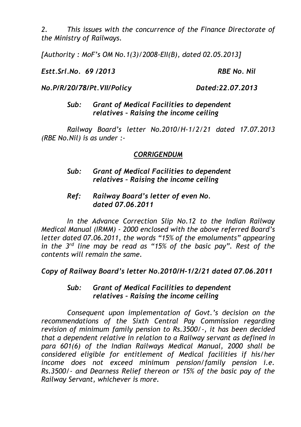*2. This issues with the concurrence of the Finance Directorate of the Ministry of Railways.*

*[Authority : MoF's OM No.1(3)/2008-EII(B), dated 02.05.2013]*

## *Estt.Srl.No. 69 /2013 RBE No. Nil*

## *No.P/R/20/78/Pt.VII/Policy Dated:22.07.2013*

*Sub: Grant of Medical Facilities to dependent relatives – Raising the income ceiling*

*Railway Board's letter No.2010/H-1/2/21 dated 17.07.2013 (RBE No.Nil) is as under :-*

# *CORRIGENDUM*

## *Sub: Grant of Medical Facilities to dependent relatives – Raising the income ceiling*

## *Ref: Railway Board's letter of even No. dated 07.06.2011*

*In the Advance Correction Slip No.12 to the Indian Railway Medical Manual (IRMM) - 2000 enclosed with the above referred Board's letter dated 07.06.2011, the words "15% of the emoluments" appearing in the 3rd line may be read as "15% of the basic pay". Rest of the contents will remain the same.*

# *Copy of Railway Board's letter No.2010/H-1/2/21 dated 07.06.2011*

## *Sub: Grant of Medical Facilities to dependent relatives – Raising the income ceiling*

*Consequent upon implementation of Govt.'s decision on the recommendations of the Sixth Central Pay Commission regarding revision of minimum family pension to Rs.3500/-, it has been decided that a dependent relative in relation to a Railway servant as defined in para 601(6) of the Indian Railways Medical Manual, 2000 shall be considered eligible for entitlement of Medical facilities if his/her income does not exceed minimum pension/family pension i.e. Rs.3500/- and Dearness Relief thereon or 15% of the basic pay of the Railway Servant, whichever is more.*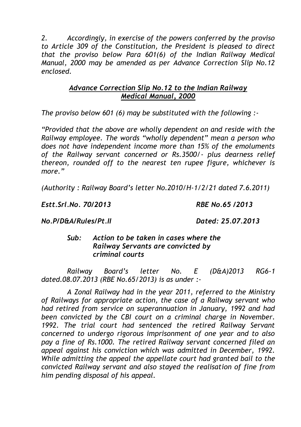*2. Accordingly, in exercise of the powers conferred by the proviso to Article 309 of the Constitution, the President is pleased to direct that the proviso below Para 601(6) of the Indian Railway Medical Manual, 2000 may be amended as per Advance Correction Slip No.12 enclosed.*

## *Advance Correction Slip No.12 to the Indian Railway Medical Manual, 2000*

*The proviso below 601 (6) may be substituted with the following :-*

*"Provided that the above are wholly dependent on and reside with the Railway employee. The words "wholly dependent" mean a person who does not have independent income more than 15% of the emoluments of the Railway servant concerned or Rs.3500/- plus dearness relief thereon, rounded off to the nearest ten rupee figure, whichever is more."*

*(Authority : Railway Board's letter No.2010/H-1/2/21 dated 7.6.2011)*

*Estt.Srl.No. 70/2013 RBE No.65 /2013*

*No.P/D&A/Rules/Pt.II Dated: 25.07.2013*

#### *Sub: Action to be taken in cases where the Railway Servants are convicted by criminal courts*

*Railway Board's letter No. E (D&A)2013 RG6-1 dated.08.07.2013 (RBE No.65/2013) is as under :-*

*A Zonal Railway had in the year 2011, referred to the Ministry of Railways for appropriate action, the case of a Railway servant who had retired from service on superannuation in January, 1992 and had been convicted by the CBI court on a criminal charge in November. 1992. The trial court had sentenced the retired Railway Servant concerned to undergo rigorous imprisonment of one year and to also pay a fine of Rs.1000. The retired Railway servant concerned filed an appeal against his conviction which was admitted in December, 1992. While admitting the appeal the appellate court had granted bail to the convicted Railway servant and also stayed the realisation of fine from him pending disposal of his appeal.*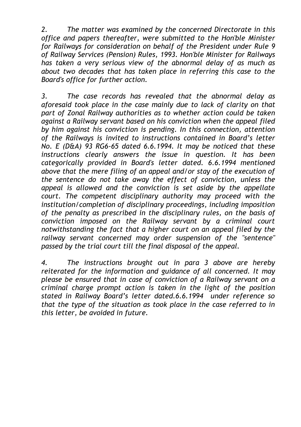*2. The matter was examined by the concerned Directorate in this office and papers thereafter, were submitted to the Hon'ble Minister for Railways for consideration on behalf of the President under Rule 9 of Railway Services (Pension) Rules, 1993. Hon'ble Minister for Railways has taken a very serious view of the abnormal delay of as much as about two decades that has taken place in referring this case to the Board's office for further action.*

*3. The case records has revealed that the abnormal delay as aforesaid took place in the case mainly due to lack of clarity on that part of Zonal Railway authorities as to whether action could be taken against a Railway servant based on his conviction when the appeal filed by him against his conviction is pending. In this connection, attention of the Railways is invited to instructions contained in Board's letter No. E (D&A) 93 RG6-65 dated 6.6.1994. It may be noticed that these instructions clearly answers the issue in question. It has been categorically provided in Board's letter dated. 6.6.1994 mentioned above that the mere filing of an appeal and/or stay of the execution of the sentence do not take away the effect of conviction, unless the appeal is allowed and the conviction is set aside by the appellate court. The competent disciplinary authority may proceed with the institution/completion of disciplinary proceedings, including imposition of the penalty as prescribed in the disciplinary rules, on the basis of conviction imposed on the Railway servant by a criminal court notwithstanding the fact that a higher court on an appeal filed by the railway servant concerned may order suspension of the "sentence" passed by the trial court till the final disposal of the appeal.*

*4. The instructions brought out in para 3 above are hereby reiterated for the information and guidance of all concerned. It may please be ensured that in case of conviction of a Railway servant on a criminal charge prompt action is taken in the light of the position stated in Railway Board's letter dated.6.6.1994 under reference so that the type of the situation as took place in the case referred to in this letter, be avoided in future.*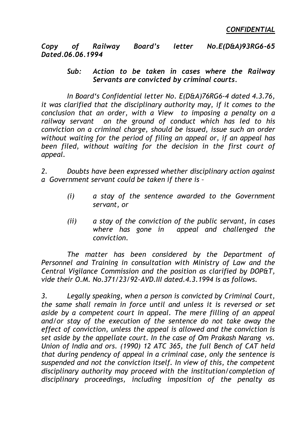*Copy of Railway Board's letter No.E(D&A)93RG6-65 Dated.06.06.1994* 

> *Sub: Action to be taken in cases where the Railway Servants are convicted by criminal courts.*

*In Board's Confidential letter No. E(D&A)76RG6-4 dated 4.3.76, it was clarified that the disciplinary authority may, if it comes to the conclusion that an order, with a View to imposing a penalty on a railway servant on the ground of conduct which has led to his conviction on a criminal charge, should be issued, issue such an order without waiting for the period of filing an appeal or, if an appeal has been filed, without waiting for the decision in the first court of appeal.*

*2. Doubts have been expressed whether disciplinary action against a Government servant could be taken if there is –*

- *(i) a stay of the sentence awarded to the Government servant, or*
- *(ii) a stay of the conviction of the public servant, in cases where has gone in appeal and challenged the conviction.*

*The matter has been considered by the Department of Personnel and Training in consultation with Ministry of Law and the Central Vigilance Commission and the position as clarified by DOP&T, vide their O.M. No.371/23/92-AVD.III dated.4.3.1994 is as follows.*

*3. Legally speaking, when a person is convicted by Criminal Court, the same shall remain in force until and unless it is reversed or set aside by a competent court in appeal. The mere filling of an appeal and/or stay of the execution of the sentence do not take away the effect of conviction, unless the appeal is allowed and the conviction is set aside by the appellate court. In the case of Om Prakash Narang vs. Union of India and ors. (1990) 12 ATC 365, the full Bench of CAT held that during pendency of appeal in a criminal case, only the sentence is suspended and not the conviction itself. In view of this, the competent disciplinary authority may proceed with the institution/completion of disciplinary proceedings, including imposition of the penalty as*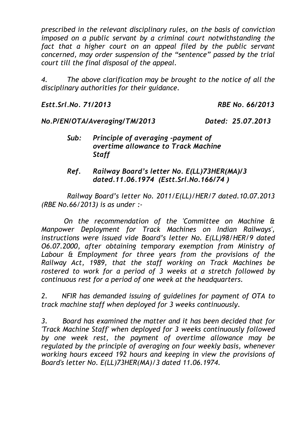*prescribed in the relevant disciplinary rules, on the basis of conviction imposed on a public servant by a criminal court notwithstanding the*  fact that a higher court on an appeal filed by the public servant *concerned, may order suspension of the "sentence" passed by the trial court till the final disposal of the appeal.*

*4. The above clarification may be brought to the notice of all the disciplinary authorities for their guidance.*

*Estt.Srl.No. 71/2013 RBE No. 66/2013*

*No.P/EN/OTA/Averaging/TM/2013 Dated: 25.07.2013*

- *Sub: Principle of averaging -payment of overtime allowance to Track Machine Staff*
- *Ref. Railway Board's letter No. E(LL)73HER(MA)/3 dated.11.06.1974 (Estt.Srl.No.166/74 )*

*Railway Board's letter No. 2011/E(LL)/HER/7 dated.10.07.2013 (RBE No.66/2013) is as under :-*

*On the recommendation of the 'Committee on Machine & Manpower Deployment for Track Machines on Indian RaiIways', instructions were issued vide Board's letter No. E(LL)98/HER/9 dated O6.07.2000, after obtaining temporary exemption from Ministry of Labour & Employment for three years from the provisions of the Railway Act, 1989, that the staff working on Track Machines be rostered to work for a period of 3 weeks at a stretch followed by continuous rest for a period of one week at the headquarters.*

*2. NFIR has demanded issuing of guidelines for payment of OTA to track machine staff when deployed for 3 weeks continuously.*

*3. Board has examined the matter and it has been decided that for 'Track Machine Staff' when deployed for 3 weeks continuously followed by one week rest, the payment of overtime allowance may be regulated by the principle of averaging on four weekly basis, whenever working hours exceed 192 hours and keeping in view the provisions of Board's letter No. E(LL)73HER(MA)/3 dated 11.06.1974.*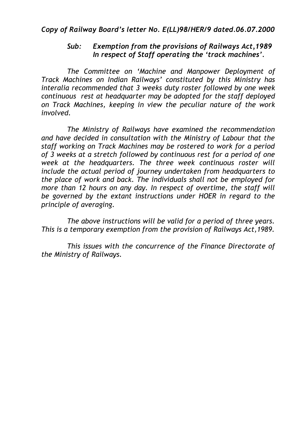*Copy of Railway Board's letter No. E(LL)98/HER/9 dated.06.07.2000*

### *Sub: Exemption from the provisions of Railways Act,1989 In respect of Staff operating the 'track machines'.*

*The Committee on 'Machine and Manpower Deployment of Track Machines on Indian Railways' constituted by this Ministry has interalia recommended that 3 weeks duty roster followed by one week continuous rest at headquarter may be adopted for the staff deployed on Track Machines, keeping in view the peculiar nature of the work involved.*

*The Ministry of Railways have examined the recommendation and have decided in consultation with the Ministry of Labour that the staff working on Track Machines may be rostered to work for a period of 3 weeks at a stretch followed by continuous rest for a period of one week at the headquarters. The three week continuous roster will include the actual period of journey undertaken from headquarters to the place of work and back. The individuals shall not be employed for more than 12 hours on any day. In respect of overtime, the staff will be governed by the extant instructions under HOER in regard to the principle of averaging.*

*The above instructions will be valid for a period of three years. This is a temporary exemption from the provision of Railways Act,1989.*

*This issues with the concurrence of the Finance Directorate of the Ministry of Railways.*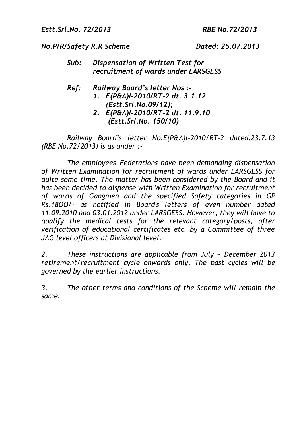*Estt.Srl.No. 72/2013 RBE No.72/2013*

#### *No.P/R/Safety R.R Scheme Dated: 25.07.2013*

- *Sub: Dispensation of Written Test for recruitment of wards under LARSGESS*
- *Ref: Railway Board's letter Nos :-*
	- *1. E(P&A)I-2010/RT-2 dt. 3.1.12 (Estt.Srl.No.09/12);*
		- *2. E(P&A)I-2010/RT-2 dt. 11.9.10 (Estt.Srl.No. 150/10)*

*Railway Board's letter No.E(P&A)I-2010/RT-2 dated.23.7.13 (RBE No.72/2013) is as under :-*

*The employees' Federations have been demanding dispensation of Written Examination for recruitment of wards under LARSGESS for quite some time. The matter has been considered by the Board and it has been decided to dispense with Written Examination for recruitment of wards of Gangmen and the specified Safety categories in GP Rs.18OO/- as notified in Board's letters of even number dated 11.09.2010 and 03.01.2012 under LARSGESS. However, they will have to qualify the medical tests for the relevant category/posts, after verification of educational certificates etc. by a Committee of three JAG level officers at Divisional level.* 

*2. These instructions are applicable from July ~ December 2013 retirement/recruitment cycle onwards only. The past cycles will be governed by the earlier instructions.*

*3. The other terms and conditions of the Scheme will remain the same.*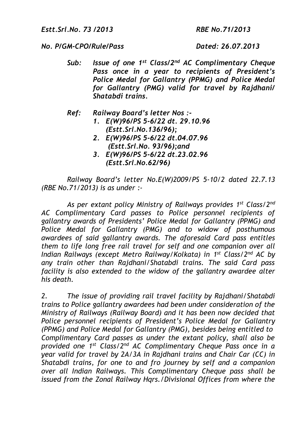#### *Estt.Srl.No. 73 /2013 RBE No.71/2013*

#### *No. P/GM-CPO/Rule/Pass Dated: 26.07.2013*

- *Sub: Issue of one 1st Class/2nd AC Complimentary Cheque Pass once in a year to recipients of President's Police Medal for Gallantry (PPMG) and Police Medal for Gallantry (PMG) valid for travel by Rajdhani/ Shatabdi trains.*
- *Ref: Railway Board's letter Nos :-*
	- *1. E(W)96/PS 5-6/22 dt. 29.10.96 (Estt.Srl.No.136/96);*
	- *2. E(W)96/PS 5-6/22 dt.04.07.96 (Estt.Srl.No. 93/96);and*
	- *3. E(W)96/PS 5-6/22 dt.23.02.96 (Estt.Srl.No.62/96)*

*Railway Board's letter No.E(W)2009/PS 5-10/2 dated 22.7.13 (RBE No.71/2013) is as under :-*

*As per extant policy Ministry of Railways provides 1 st Class/2nd AC Complimentary Card passes to Police personnel recipients of gallantry awards of Presidents' Police Medal for Gallantry (PPMG) and Police Medal for Gallantry (PMG) and to widow of posthumous awardees of said gallantry awards. The aforesaid Card pass entitles them to life long free rail travel for self and one companion over all Indian Railways (except Metro Railway/Kolkata) in 1 st Class/2nd AC by any train other than Rajdhani/Shatabdi trains. The said Card pass facility is also extended to the widow of the gallantry awardee alter his death.*

*2. The issue of providing rail travel facility by Rajdhani/Shatabdi trains to Police gallantry awardees had been under consideration of the Ministry of Railways (Railway Board) and it has been now decided that Police personnel recipients of President's Police Medal for Gallantry (PPMG) and Police Medal for Gallantry (PMG), besides being entitled to Complimentary Card passes as under the extant policy, shall also be provided one 1st Class/2nd AC Complimentary Cheque Pass once in a year valid for travel by 2A/3A in Rajdhani trains and Chair Car (CC) in Shatabdi trains, for one to and fro journey by self and a companion over all Indian Railways. This Complimentary Cheque pass shall be issued from the Zonal Railway Hqrs./Divisional Offices from where the*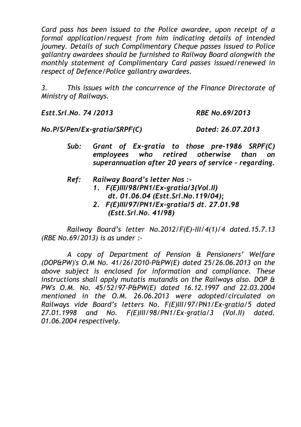*Card pass has been issued to the Police awardee, upon receipt of a formal application/request from him indicating details of intended joumey. Details of such Complimentary Cheque passes issued to Police gallantry awardees should be furnished to Railway Board alongwith the monthly statement of Complimentary Card passes issued/renewed in respect of Defence/Police gallantry awardees.*

*3. This issues with the concurrence of the Finance Directorate of Ministry of Railways.*

*Estt.Srl.No. 74 /2013 RBE No.69/2013*

*No.P/S/Pen/Ex-gratia/SRPF(C) Dated: 26.07.2013*

- *Sub: Grant of Ex-gratia to those pre-1986 SRPF(C) employees who retired otherwise than on superannuation after 20 years of service - regarding.*
- *Ref: Railway Board's letter Nos :- 1. F(E)III/98/PN1/Ex-gratia/3(Vol.II) dt. 01.06.04 (Estt.Srl.No.119/04);*
	- *2. F(E)III/97/PN1/Ex-gratia/5 dt. 27.01.98 (Estt.Srl.No. 41/98)*

*Railway Board's letter No.2012/F(E)-III/4(1)/4 dated.15.7.13 (RBE No.69/2013) is as under :-*

*A copy of Department of Pension & Pensioners' Welfare (DOP&PW)'s O.M No. 41/26/2010-P&PW(E) dated 25/26.06.2013 on the above subject is enclosed for information and compliance. These instructions shall apply mutatis mutandis on the Railways also. DOP & PW's O.M. No. 45/52/97-P&PW(E) dated 16.12.1997 and 22.03.2004 mentioned in the O.M. 26.06.2013 were adopted/circulated on Railways vide Board's letters No. F(E)III/97/PN1/Ex-gratia/5 dated 27.01.1998 and No. F(E)III/98/PN1/Ex-gratia/3 (VoI.II) dated. 01.06.2004 respectively.*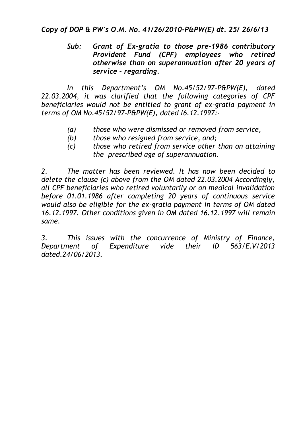## *Copy of DOP & PW's O.M. No. 41/26/2010-P&PW(E) dt. 25/ 26/6/13*

## *Sub: Grant of Ex-gratia to those pre-1986 contributory Provident Fund (CPF) employees who retired otherwise than on superannuation after 20 years of service - regarding.*

*In this Department's OM No.45/52/97-P&PW(E), dated 22.03.2004, it was clarified that the following categories of CPF beneficiaries would not be entitled to grant of ex-gratia payment in terms of OM No.45/52/97-P&PW(E), dated l6.12.1997:-*

- *(a) those who were dismissed or removed from service,*
- *(b) those who resigned from service, and;*
- *(c) those who retired from service other than on attaining the prescribed age of superannuation.*

*2. The matter has been reviewed. It has now been decided to delete the clause (c) above from the OM dated 22.03.2004 Accordingly, all CPF beneficiaries who retired voluntarily or on medical invalidation before 01.01.1986 after completing 20 years of continuous service would also be eligible for the ex-gratia payment in terms of OM dated 16.12.1997. Other conditions given in OM dated 16.12.1997 will remain same.*

*3. This issues with the concurrence of Ministry of Finance, Department of Expenditure vide their ID 563/E.V/2013 dated.24/06/2013.*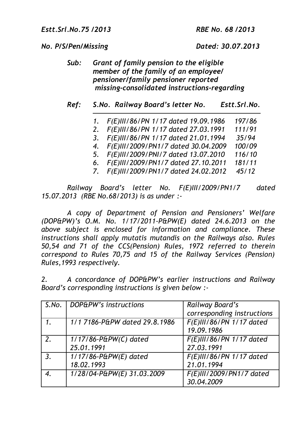*Estt.Srl.No.75 /2013 RBE No. 68 /2013*

*No. P/S/Pen/Missing Dated: 30.07.2013*

- *Sub: Grant of family pension to the eligible member of the family of an employee/ pensioner/family pensioner reported missing-consolidated instructions-regarding*
- *Ref: S.No. Railway Board's letter No. Estt.Srl.No.*
	- *1. F(E)III/86/PN 1/17 dated 19.09.1986 197/86*
		- *2. F(E)III/86/PN 1/17 dated 27.03.1991 111/91*
		- *3. F(E)III/86/PN 1/17 dated 21.01.1994 35/94*
		- *4. F(E)III/2009/PN1/7 dated 30.04.2009 100/09*
		- *5. F(E)III/2009/PNI/7 dated 13.07.2010 116/10*
		- *6. F(E)III/2009/PN1/7 dated 27.10.2011 181/11*
		- *7. F(E)III/2009/PN1/7 dated 24.02.2012 45/12*

*Railway Board's letter No. F(E)III/2009/PN1/7 dated 15.07.2013 (RBE No.68/2013) is as under :-*

*A copy of Department of Pension and Pensioners' Welfare (DOP&PW)'s O.M. No. 1/17/2011-P&PW(E) dated 24.6.2013 on the above subject is enclosed for information and compliance. These instructions shall apply mutatis mutandis on the Railways also. Rules 50,54 and 71 of the CCS(Pension) Rules, 1972 referred to therein correspond to Rules 70,75 and 15 of the Railway Services (Pension) Rules,1993 respectively.*

*2. A concordance of DOP&PW's earlier instructions and Railway Board's corresponding instructions is given below :-*

|                  | S.No.   DOP&PW's instructions | Railway Board's            |
|------------------|-------------------------------|----------------------------|
|                  |                               | corresponding instructions |
| 1.               | 1/1 7186-P&PW dated 29.8.1986 | F(E)III/86/PN 1/17 dated   |
|                  |                               | 19.09.1986                 |
| 2 <sub>1</sub>   | 1/17/86-P&PW(C) dated         | F(E)III/86/PN 1/17 dated   |
|                  | 25.01.1991                    | 27.03.1991                 |
| $\overline{3}$ . | 1/17/86-P&PW(E) dated         | F(E)III/86/PN 1/17 dated   |
|                  | 18.02.1993                    | 21.01.1994                 |
| 4.               | 1/28/04-P&PW(E) 31.03.2009    | F(E)III/2009/PN1/7 dated   |
|                  |                               | 30.04.2009                 |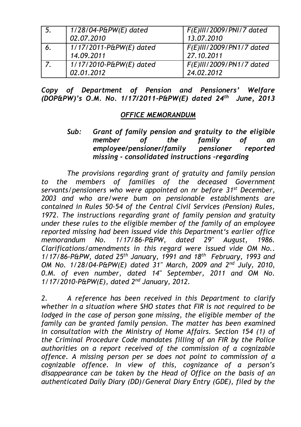| 5.   | 1/28/04-P&PW(E) dated   | F(E)III/2009/PNI/7 dated |
|------|-------------------------|--------------------------|
|      | 02.07.2010              | 13.07.2010               |
| 6.   | 1/17/2011-P&PW(E) dated | F(E)III/2009/PN1/7 dated |
|      | 14.09.2011              | 27.10.2011               |
| $-7$ | 1/17/2010-P&PW(E) dated | F(E)III/2009/PN1/7 dated |
|      | 02.01.2012              | 24.02.2012               |

*Copy of Department of Pension and Pensioners' Welfare (DOP&PW)'s O.M. No. 1/17/2011-P&PW(E) dated 24th June, 2013*

## *OFFICE MEMORANDUM*

*Sub: Grant of family pension and gratuity to the eligible member of the family of an employee/pensioner/family pensioner reported missing - consolidated instructions –regarding*

*The provisions regarding grant of gratuity and family pension to the members of families of the deceased Government servants/pensioners who were appointed on nr before 31st December, 2003 and who are/were bum on pensionable establishments are contained in Rules 50-54 of the Central Civil Services (Pension) Rules, 1972. The instructions regarding grant of family pension and gratuity under these rules to the eligible member of the family of an employee reported missing had been issued vide this Department's earlier office memorandum No. 1/17/86-P&PW, dated 29" August, 1986. Clarifications/amendments in this regard were issued vide OM No.. 1/17/86-P&PW, dated 25th January, 1991 and 18th February, 1993 and OM No. 1/28/04-P&PW(E) dated 31" March, 2009 and 2nd July, 2010, 0.M. of even number, dated 14" September, 2011 and OM No. 1/17/2010-P&PW(E), dated 2 nd January, 2012.*

*2. A reference has been received in this Department to clarify whether in a situation where SHO states that FIR is not required to be lodged in the case of person gone missing, the eligible member of the family can be granted family pension. The matter has been examined in consultation with the Ministry of Home Affairs. Section 154 (1) of the Criminal Procedure Code mandates filling of an FIR by the Police authorities on a report received of the commission of a cognizable offence. A missing person per se does not point to commission of a cognizable offence. In view of this, cognizance of a person's disappearance can be taken by the Head of Office on the basis of an authenticated Daily Diary (DD)/General Diary Entry (GDE), filed by the*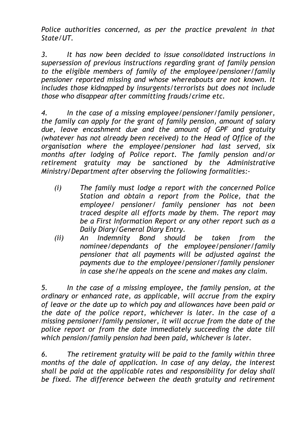*Police authorities concerned, as per the practice prevalent in that State/UT.*

*3. It has now been decided to issue consolidated instructions in supersession of previous instructions regarding grant of family pension to the eligible members of family of the employee/pensioner/family pensioner reported missing and whose whereabouts are not known. It includes those kidnapped by insurgents/terrorists but does not include those who disappear after committing frauds/crime etc.*

*4. In the case of a missing employee/pensioner/family pensioner, the family can apply for the grant of family pension, amount of salary due, leave encashment due and the amount of GPF and gratuity (whatever has not already been received) to the Head of Office of the organisation where the employee/pensioner had last served, six months after lodging of Police report. The family pension and/or retirement gratuity may be sanctioned by the Administrative Ministry/Department after observing the following formalities:-*

- *(i) The family must lodge a report with the concerned Police Station and obtain a report from the Police, that the employee/ pensioner/ family pensioner has not been traced despite all efforts made by them. The report may be a First Information Report or any other report such as a Daily Diary/General Diary Entry.*
- *(ii) An Indemnity Bond should be taken from the nominee/dependants of the employee/pensioner/family pensioner that all payments will be adjusted against the payments due to the employee/pensioner/family pensioner in case she/he appeals on the scene and makes any claim.*

*5. In the case of a missing employee, the family pension, at the ordinary or enhanced rate, as applicable, will accrue from the expiry of leave or the date up to which pay and allowances have been paid or the date of the police report, whichever is later. In the case of a missing pensioner/family pensioner, it will accrue from the date of the police report or from the date immediately succeeding the date till which pension/family pension had been paid, whichever is later.*

*6. The retirement gratuity will be paid to the family within three months of the dale of application. In case of any delay, the interest shall be paid at the applicable rates and responsibility for delay shall be fixed. The difference between the death gratuity and retirement*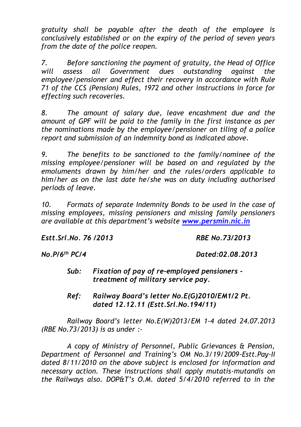*gratuity shall be payable after the death of the employee is conclusively established or on the expiry of the period of seven years from the date of the police reopen.*

*7. Before sanctioning the payment of gratuity, the Head of Office will assess all Government dues outstanding against the employee/pensioner and effect their recovery in accordance with Rule 71 of the CCS (Pension) Rules, 1972 and other instructions in force for effecting such recoveries.*

*8. The amount of salary due, leave encashment due and the amount of GPF will be paid to the family in the first instance as per the nominations made by the employee/pensioner on tiling of a police report and submission of an indemnity bond as indicated above.*

*9. The benefits to be sanctioned to the family/nominee of the missing employee/pensioner will be based on and regulated by the emoluments drawn by him/her and the rules/orders applicable to him/her as on the last date he/she was on duty including authorised periods of leave.*

*10. Formats of separate Indemnity Bonds to be used in the case of missing employees, missing pensioners and missing family pensioners are available at this department's website [www.persmin.nic.in](http://www.persmin.nic.in/)*

*Estt.Srl.No. 76 /2013 RBE No.73/2013*

*No.P/6th PC/4 Dated:02.08.2013*

- *Sub: Fixation of pay of re-employed pensioners treatment of military service pay.*
- *Ref: Railway Board's letter No.E(G)2010/EM1/2 Pt. dated 12.12.11 (Estt.Srl.No.194/11)*

*Railway Board's letter No.E(W)2013/EM 1-4 dated 24.07.2013 (RBE No.73/2013) is as under :-*

*A copy of Ministry of Personnel, Public Grievances & Pension, Department of Personnel and Training's OM No.3/19/2009-Estt.Pay-II dated 8/11/2010 on the above subject is enclosed for information and necessary action. These instructions shall apply mutatis-mutandis on the Railways also. DOP&T's O.M. dated 5/4/2010 referred to in the*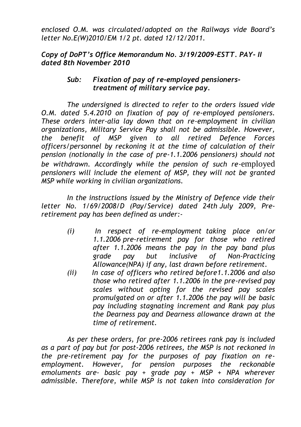*enclosed O.M. was circulated/adopted on the Railways vide Board's letter No.E(W)2010/EM 1/2 pt. dated 12/12/2011.*

*Copy of DoPT's Office Memorandum No. 3/19/2009-ESTT. PAY- II dated 8th November 2010*

## *Sub: Fixation of pay of re-employed pensionerstreatment of military service pay.*

*The undersigned is directed to refer to the orders issued vide O.M. dated 5.4.2010 on fixation of pay of re-employed pensioners. These orders inter-alia lay down that on re-employment in civilian organizations, Military Service Pay shall not be admissible. However, the benefit of MSP given to all retired Defence Forces officers/personnel by reckoning it at the time of calculation of their pension (notionally in the case of pre-1.1.2006 pensioners) should not be withdrawn. Accordingly while the pension of such re-*employed *pensioners will include the element of MSP, they will not be granted MSP while working in civilian organizations.*

*In the instructions issued by the Ministry of Defence vide their letter No. 1/69/2008/D (Pay/Service) dated 24th July 2009, Preretirement pay has been defined as under:-*

- *(i) In respect of re-employment taking place on/or 1.1.2006 pre-retirement pay for those who retired after 1.1.2006 means the pay in the pay band plus grade pay but inclusive of Non-Practicing Allowance(NPA) if any, last drawn before retirement.*
- *(ii) In case of officers who retired before1.1.2006 and also those who retired after 1.1.2006 in the pre-revised pay scales without opting for the revised pay scales promulgated on or after 1.1.2006 the pay will be basic pay including stagnating increment and Rank pay plus the Dearness pay and Dearness allowance drawn at the time of retirement.*

*As per these orders, for pre-2006 retirees rank pay is included as a part of pay but for post-2006 retirees, the MSP is not reckoned in the pre-retirement pay for the purposes of pay fixation on reemployment. However, for pension purposes the reckonable emoluments are- basic pay + grade pay + MSP + NPA wherever admissible. Therefore, while MSP is not taken into consideration for*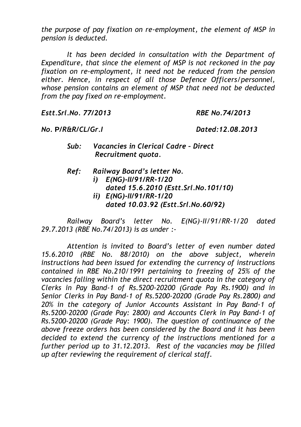*the purpose of pay fixation on re-employment, the element of MSP in pension is deducted.*

*It has been decided in consultation with the Department of Expenditure, that since the element of MSP is not reckoned in the pay fixation on re-employment, it need not be reduced from the pension either. Hence, in respect of all those Defence Officers/personnel, whose pension contains an element of MSP that need not be deducted from the pay fixed on re-employment.*

*Estt.Srl.No. 77/2013 RBE No.74/2013*

*No.* **P***/R&R/CL/Gr.I Dated:12.08.2013*

- *Sub: Vacancies in Clerical Cadre – Direct Recruitment quota.*
- *Ref: Railway Board's letter No. i) E(NG)-II/91/RR-1/20 dated 15.6.2010 (Estt.Srl.No.101/10)*
	- *ii) E(NG)-II/91/RR-1/20 dated 10.03.92 (Estt.Srl.No.60/92)*

*Railway Board's letter No. E(NG)-II/91/RR-1/20 dated 29.7.2013 (RBE No.74/2013) is as under :-*

*Attention is invited to Board's letter of even number dated 15.6.2010 (RBE No. 88/2010) on the above subject, wherein instructions had been issued for extending the currency of instructions contained in RBE No.210/1991 pertaining to freezing of 25% of the vacancies falling within the direct recruitment quota in the category of Clerks in Pay Band-1 of Rs.5200-20200 (Grade Pay Rs.1900) and in Senior Clerks in Pay Band-1 of Rs.5200-20200 (Grade Pay Rs.2800) and 20% in the category of Junior Accounts Assistant in Pay Band-1 of Rs.5200-20200 (Grade Pay: 2800) and Accounts Clerk in Pay Band-1 of Rs.5200-20200 (Grade Pay: 1900). The question of continuance of the above freeze orders has been considered by the Board and it has been decided to extend the currency of the instructions mentioned for a further period up to 31.12.2013. Rest of the vacancies may be filled up after reviewing the requirement of clerical staff.*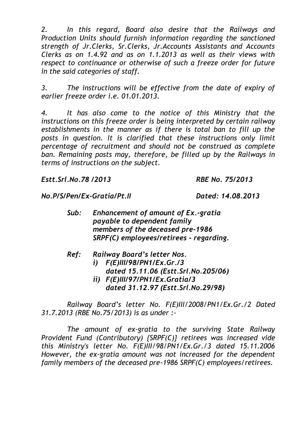*2. In this regard, Board also desire that the Railways and Production Units should furnish information regarding the sanctioned strength of Jr.Clerks, Sr.Clerks, Jr.Accounts Assistants and Accounts Clerks as on 1.4.92 and as on 1.1.2013 as well as their views with respect to continuance or otherwise of such a freeze order for future in the said categories of staff.*

*3. The instructions will be effective from the date of expiry of earlier freeze order i.e. 01.01.2013.*

*4. It has also come to the notice of this Ministry that the instructions on this freeze order is being interpreted by certain railway establishments in the manner as if there is total ban to fill up the posts in question. It is clarified that these instructions only limit percentage of recruitment and should not be construed as complete ban. Remaining posts may, therefore, be filled up by the Railways in terms of instructions on the subject.*

*Estt.Srl.No.78 /2013 RBE No. 75/2013*

*No.P/S/Pen/Ex-Gratia/Pt.II Dated: 14.08.2013*

- *Sub: Enhancement of amount of Ex.-gratia payable to dependent family members of the deceased pre-1986 SRPF(C) employees/retirees - regarding.*
- *Ref: Railway Board's letter Nos.*
	- *i) F(E)III/98/PN1/Ex.Gr./3 dated 15.11.06 (Estt.Srl.No.205/06)*
	- *ii) F(E)III/97/PN1/Ex.Gratia/3 dated 31.12.97 (Estt.Srl.No.29/98)*

*Railway Board's letter No. F(E)III/2008/PN1/Ex.Gr./2 Dated 31.7.2013 (RBE No.75/2013) is as under :-*

*The amount of ex-gratia to the surviving State Railway Provident Fund (Contributory) {SRPF(C)} retirees was increased vide this Ministry's letter No. F(E)III/98/PN1/Ex.Gr./3 dated 15.11.2006 However, the ex-gratia amount was not increased for the dependent family members of the deceased pre-1986 SRPF(C) employees/retirees.*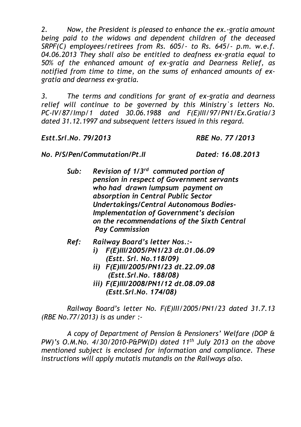*2. Now, the President is pleased to enhance the ex.-gratia amount being paid to the widows and dependent children of the deceased SRPF(C) employees/retirees from Rs. 605/- to Rs. 645/- p.m. w.e.f. 04.06.2013 They shall also be entitled to deafness ex-gratia equal to 50% of the enhanced amount of ex-gratia and Dearness Relief, as notified from time to time, on the sums of enhanced amounts of exgratia and dearness ex-gratia.*

*3. The terms and conditions for grant of ex-gratia and dearness relief will continue to be governed by this Ministry`s letters No. PC-IV/87/Imp/1 dated 30.06.1988 and F(E)III/97/PN1/Ex.Gratia/3 dated 31.12.1997 and subsequent letters issued in this regard.*

*Estt.Srl.No. 79/2013 RBE No. 77 /2013*

*No. P/S/Pen/Commutation/Pt.II Dated: 16.08.2013*

- *Sub: Revision of 1/3rd commuted portion of pension in respect of Government servants who had drawn lumpsum payment on absorption in Central Public Sector Undertakings/Central Autonomous Bodies-Implementation of Government's decision on the recommendations of the Sixth Central Pay Commission*
- *Ref: Railway Board's letter Nos.: i) F(E)III/2005/PN1/23 dt.01.06.09 (Estt. Srl. No.118/09)*
	- *ii) F(E)III/2005/PN1/23 dt.22.09.08 (Estt.Srl.No. 188/08)*
	- *iii) F(E)III/2008/PN1/12 dt.08.09.08 (Estt.Srl.No. 174/08)*

*Railway Board's letter No. F(E)III/2005/PN1/23 dated 31.7.13 (RBE No.77/2013) is as under :-*

*A copy of Department of Pension & Pensioners' Welfare (DOP & PW)'s O.M.No. 4/30/2010-P&PW(D) dated 11th July 2013 on the above mentioned subject is enclosed for information and compliance. These instructions will apply mutatis mutandis on the Railways also.*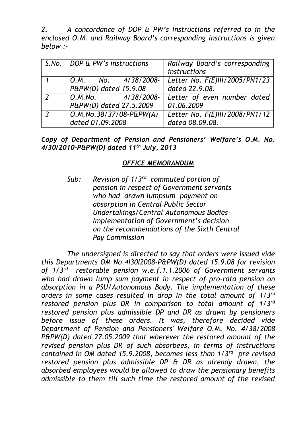*2. A concordance of DOP & PW's instructions referred to in the enclosed O.M. and Railway Board's corresponding instructions is given below :-*

|                | S.No.   DOP & PW's instructions | Railway Board's corresponding<br>instructions |
|----------------|---------------------------------|-----------------------------------------------|
|                | $0.M.$ No. $4/38/2008$ -        | Letter No. F(E)III/2005/PN1/23                |
|                | P&PW(D) dated 15.9.08           | dated 22.9.08.                                |
| $\overline{2}$ | $0. M. No. 4/38/2008-$          | Letter of even number dated                   |
|                | P&PW(D) dated 27.5.2009         | 01.06.2009                                    |
| $\mathbf{r}$   | $0.M.No.38/37/08-PAPW(A)$       | Letter No. F(E)III/2008/PN1/12                |
|                | dated 01.09.2008                | dated 08.09.08.                               |

*Copy of Department of Pension and Pensioners' Welfare's O.M. No. 4/30/2010-P&PW(D) dated 11th July, 2013*

## *OFFICE MEMORANDUM*

*Sub: Revision of 1/3rd commuted portion of pension in respect of Government servants who had drawn lumpsum payment on absorption in Central Public Sector Undertakings/Central Autonomous Bodies-Implementation of Government's decision on the recommendations of the Sixth Central Pay Commission*

*The undersigned is directed to say that orders were issued vide this Departments OM No.4I30I2008-P&PW(D) dated 15.9.08 for revision of 1/3rd restorable pension w.e.f.1.1.2006 of Government servants who had drawn lump sum payment in respect of pro-rata pension on absorption in a PSU/Autonomous Body. The implementation of these orders in some cases resulted in drop In the total amount of 1/3rd restored pension plus DR in comparison to total amount of 1/3rd restored pension plus admissible DP and DR as drawn by pensioners before issue of these orders. It was, therefore decided vide Department of Pension and Pensioners' Welfare O.M. No. 4/38/2008 P&PW(D) dated 27.05.2009 that wherever the restored amount of the revised pension plus DR of such absorbees, in terms of instructions contained in OM dated 15.9.2008, becomes less than 1/3rd pre revised restored pension plus admissible DP & DR as already drawn, the absorbed employees would be allowed to draw the pensionary benefits admissible to them till such time the restored amount of the revised*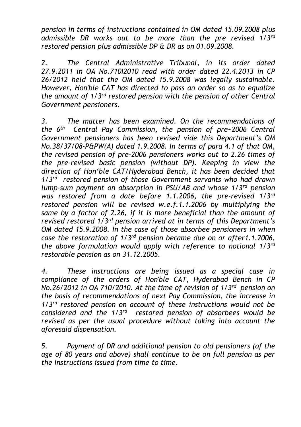*pension in terms of instructions contained in OM dated 15.09.2008 plus admissible DR works out to be more than the pre revised 1/3rd restored pension plus admissible DP & DR as on 01.09.2008.*

*2. The Central Administrative Tribunal, in its order dated 27.9.2011 in OA No.710I2010 read with order dated 22.4.2013 in CP 26/2012 held that the OM dated 15.9.2008 was legally sustainable. However, Hon'ble CAT has directed to pass an order so as to equalize the amount of 1/3rd restored pension with the pension of other Central Government pensioners.*

*3. The matter has been examined. On the recommendations of the 6th Central Pay Commission, the pension of pre~2006 Central Government pensioners has been revised vide this Department's OM No.38/37/08-P&PW(A) dated 1.9.2008. In terms of para 4.1 of that OM, the revised pension of pre-2006 pensioners works out to 2.26 times of the pre-revised basic pension (without DP). Keeping in view the direction of Hon'ble CAT/Hyderabad Bench, it has been decided that 1/3rd restored pension of those Government servants who had drawn lump-sum payment on absorption in PSU/AB and whose 1/3rd pension was restored from a date before 1.1.2006, the pre-revised 1/3rd restored pension will be revised w.e.f.1.1.2006 by multiplying the same by a factor of 2.26, if it is more beneficial than the amount of revised restored 1/3rd pension arrived at in terms of this Department's OM dated 15.9.2008. In the case of those absorbee pensioners in when case the restoration of 1/3rd pension became due on or after1.1.2006, the above formulation would apply with reference to notional 1/3rd restorable pension as on 31.12.2005.*

*4. These instructions are being issued as a special case in compliance of the orders of Hon'ble CAT, Hyderabad Bench in CP No.26/2012 in OA 710/2010. At the time of revision of 1/3rd pension on the basis of recommendations of next Pay Commission, the increase in 1/3rd restored pension on account of these instructions would not be considered and the 1/3rd restored pension of absorbees would be revised as per the usual procedure without taking into account the aforesaid dispensation.*

*5. Payment of DR and additional pension to old pensioners (of the age of 80 years and above) shall continue to be on full pension as per the instructions issued from time to time.*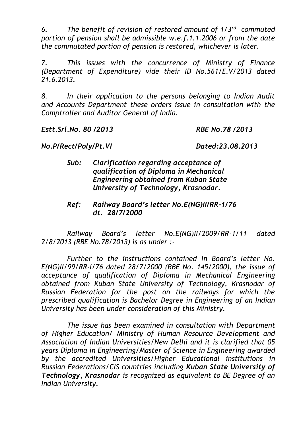*6. The benefit of revision of restored amount of 1/3rd commuted portion of pension shall be admissible w.e.f.1.1.2006 or from the date the commutated portion of pension is restored, whichever is later.*

*7. This issues with the concurrence of Ministry of Finance (Department of Expenditure) vide their ID No.561/E.V/2013 dated 21.6.2013.*

*8. In their application to the persons belonging to Indian Audit and Accounts Department these orders issue in consultation with the Comptroller and Auditor General of India.*

*Estt.Srl.No. 80 /2013 RBE No.78 /2013*

*No.P/Rect/Poly/Pt.VI Dated:23.08.2013*

- *Sub: Clarification regarding acceptance of qualification of Diploma in Mechanical Engineering obtained from Kuban State University of Technology, Krasnodar.*
- *Ref: Railway Board's letter No.E(NG)II/RR-1/76 dt. 28/7/2000*

*Railway Board's letter No.E(NG)II/2009/RR-1/11 dated 2/8/2013 (RBE No.78/2013) is as under :-*

*Further to the instructions contained in Board's letter No. E(NG)II/99/RR-I/76 dated 28/7/2000 (RBE No. 145/2000), the issue of acceptance of qualification of Diploma in Mechanical Engineering obtained from Kuban State University of Technology, Krasnodar of Russian Federation for the post on the railways for which the prescribed qualification is Bachelor Degree in Engineering of an Indian University has been under consideration of this Ministry.*

*The issue has been examined in consultation with Department of Higher Education/ Ministry of Human Resource Development and Association of Indian Universities/New Delhi and it is clarified that 05 years Diploma in Engineering/Master of Science in Engineering awarded by the accredited Universities/Higher Educational institutions in Russian Federations/CIS countries including Kuban State University of Technology, Krasnodar is recognized as equivalent to BE Degree of an Indian University.*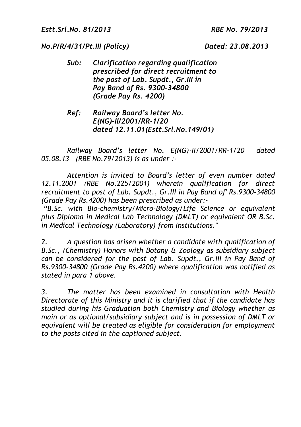*No.P/R/4/31/Pt.III (Policy) Dated: 23.08.2013*

- *Sub: Clarification regarding qualification prescribed for direct recruitment to the post of Lab. Supdt., Gr.III in Pay Band of Rs. 9300-34800 (Grade Pay Rs. 4200)*
- *Ref: Railway Board's letter No. E(NG)-II/2001/RR-1/20 dated 12.11.01(Estt.Srl.No.149/01)*

*Railway Board's letter No. E(NG)-II/2001/RR-1/20 dated 05.08.13 (RBE No.79/2013) is as under :-*

*Attention is invited to Board's letter of even number dated 12.11.2001 (RBE No.225/2001) wherein qualification for direct recruitment to post of Lab. Supdt., Gr.III in Pay Band of' Rs.9300-34800 (Grade Pay Rs.4200) has been prescribed as under:-*

*"B.Sc. with Bio-chemistry/Micro-Biology/Life Science or equivalent plus Diploma in Medical Lab Technology (DMLT) or equivalent OR B.Sc. in Medical Technology (Laboratory) from Institutions."*

*2. A question has arisen whether a candidate with qualification of B.Sc., (Chemistry) Honors with Botany & Zoology as subsidiary subject can be considered for the post of Lab. Supdt., Gr.III in Pay Band of Rs.9300-34800 (Grade Pay Rs.4200) where qualification was notified as stated in para 1 above.*

*3. The matter has been examined in consultation with Health Directorate of this Ministry and it is clarified that if the candidate has studied during his Graduation both Chemistry and Biology whether as main or as optional/subsidiary subject and is in possession of DMLT or equivalent will be treated as eligible for consideration for employment to the posts cited in the captioned subject.*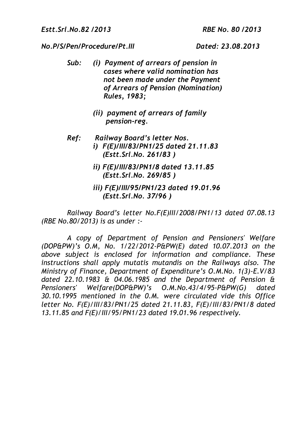#### *No.P/S/Pen/Procedure/Pt.III Dated: 23.08.2013*

- *Sub: (i) Payment of arrears of pension in cases where valid nomination has not been made under the Payment of Arrears of Pension (Nomination) Rules, 1983;*
	- *(ii) payment of arrears of family pension-reg.*
- *Ref: Railway Board's letter Nos. i) F(E)/III/83/PN1/25 dated 21.11.83* 
	- *(Estt.Srl.No. 261/83 )*
	- *ii) F(E)/III/83/PN1/8 dated 13.11.85 (Estt.Srl.No. 269/85 )*
	- *iii) F(E)/III/95/PN1/23 dated 19.01.96 (Estt.Srl.No. 37/96 )*

*Railway Board's letter No.F(E)III/2008/PN1/13 dated 07.08.13 (RBE No.80/2013) is as under :-*

*A copy of Department of Pension and Pensioners' Welfare (DOP&PW)'s O.M, No. 1/22/2012-P&PW(E) dated 10.07.2013 on the above subject is enclosed for information and compliance. These instructions shall apply mutatis mutandis on the Railways also. The Ministry of Finance, Department of Expenditure's O.M.No. 1(3)-E.V/83 dated 22.10.1983 & 04.06.1985 and the Department of Pension & Pensioners' Welfare(DOP&PW)'s O.M.No.43/4/95-P&PW(G) dated 30.10.1995 mentioned in the 0.M. were circulated vide this Office letter No. F(E)/III/83/PN1/25 dated 21.11.83, F(E)/III/83/PN1/8 dated 13.11.85 and F(E)/III/95/PN1/23 dated 19.01.96 respectively.*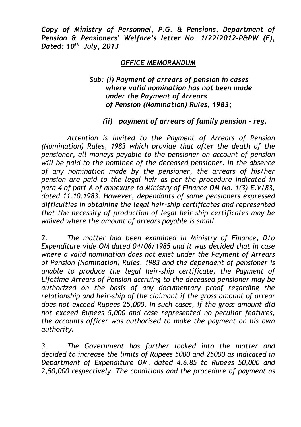*Copy of Ministry of Personnel, P.G. & Pensions, Department of Pension & Pensioners' Welfare's letter No. 1/22/2012-P&PW (E), Dated: 10th July, 2013*

## *OFFICE MEMORANDUM*

## *Sub: (i) Payment of arrears of pension in cases where valid nomination has not been made under the Payment of Arrears of Pension (Nomination) Rules, 1983;*

## *(ii) payment of arrears of family pension - reg.*

*Attention is invited to the Payment of Arrears of Pension (Nomination) Rules, 1983 which provide that after the death of the pensioner, all moneys payable to the pensioner on account of pension will be paid to the nominee of the deceased pensioner. In the absence of any nomination made by the pensioner, the arrears of his/her pension are paid to the legal heir as per the procedure indicated in para 4 of part A of annexure to Ministry of Finance OM No. 1(3)-E.V/83, dated 11.10.1983. However, dependants of some pensioners expressed difficulties in obtaining the legal heir-ship certificates and represented that the necessity of production of legal heir-ship certificates may be waived where the amount of arrears payable is small.*

*2. The matter had been examined in Ministry of Finance, D/o Expenditure vide OM dated 04/06/1985 and it was decided that in case where a valid nomination does not exist under the Payment of Arrears of Pension (Nomination) Rules, 1983 and the dependent of pensioner is unable to produce the legal heir-ship certificate, the Payment of Lifetime Arrears of Pension accruing to the deceased pensioner may be authorized on the basis of any documentary proof regarding the relationship and heir-ship of the claimant if the gross amount of arrear does not exceed Rupees 25,000. In such cases, if the gross amount did not exceed Rupees 5,000 and case represented no peculiar features, the accounts officer was authorised to make the payment on his own authority.*

*3. The Government has further looked into the matter and decided to increase the limits of Rupees 5000 and 25000 as indicated in Department of Expenditure OM, dated 4.6.85 to Rupees 50,000 and 2,50,000 respectively. The conditions and the procedure of payment as*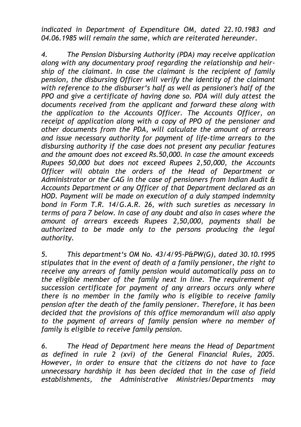*indicated in Department of Expenditure OM, dated 22.10.1983 and 04.06.1985 will remain the same, which are reiterated hereunder.*

*4. The Pension Disbursing Authority (PDA) may receive application along with any documentary proof regarding the relationship and heirship of the claimant. In case the claimant is the recipient of family pension, the disbursing Officer will verify the identity of the claimant with reference to the disburser's half as well as pensioner's half of the PPO and give a certificate of having done so. PDA will duly attest the documents received from the applicant and forward these along with the application to the Accounts Officer. The Accounts Officer, on receipt of application along with a copy of PPO of the pensioner and other documents from the PDA, will calculate the amount of arrears and issue necessary authority for payment of life-time arrears to the disbursing authority if the case does not present any peculiar features and the amount does not exceed Rs.50,000. In case the amount exceeds Rupees 50,000 but does not exceed Rupees 2,50,000, the Accounts Officer will obtain the orders of the Head of Department or Administrator or the CAG in the case of pensioners from Indian Audit & Accounts Department or any Officer of that Department declared as an HOD. Payment will be made on execution of a duly stamped indemnity bond in Form T.R. 14/G.A.R. 26, with such sureties as necessary in terms of para 7 below. In case of any doubt and also in cases where the amount of arrears exceeds Rupees 2,50,000, payments shall be authorized to be made only to the persons producing the legal authority.*

*5. This department's OM No. 43/4/95-P&PW(G), dated 30.10.1995 stipulates that in the event of death of a family pensioner, the right to receive any arrears of family pension would automatically pass on to the eligible member of the family next in line. The requirement of succession certificate for payment of any arrears occurs only where there is no member in the family who is eligible to receive family pension after the death of the family pensioner. Therefore, it has been decided that the provisions of this office memorandum will also apply to the payment of arrears of family pension where no member of family is eligible to receive family pension.*

*6. The Head of Department here means the Head of Department as defined in rule 2 (xvi) of the General Financial Rules, 2005. However, in order to ensure that the citizens do not have to face unnecessary hardship it has been decided that in the case of field establishments, the Administrative Ministries/Departments may*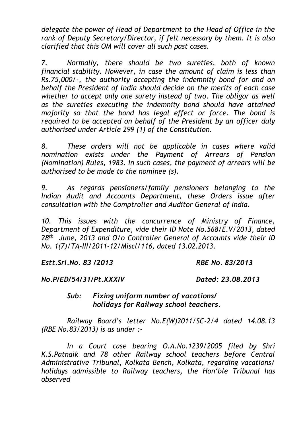*delegate the power of Head of Department to the Head of Office in the rank of Deputy Secretary/Director, if felt necessary by them. It is also clarified that this OM will cover all such past cases.*

*7. Normally, there should be two sureties, both of known financial stability. However, in case the amount of claim is less than Rs.75,000/-, the authority accepting the indemnity bond for and on behalf the President of India should decide on the merits of each case whether to accept only one surety instead of two. The obligor as well as the sureties executing the indemnity bond should have attained majority so that the bond has legal effect or force. The bond is required to be accepted on behalf of the President by an officer duly authorised under Article 299 (1) of the Constitution.*

*8. These orders will not be applicable in cases where valid nomination exists under the Payment of Arrears of Pension (Nomination) Rules, 1983. In such cases, the payment of arrears will be authorised to be made to the nominee (s).*

*9. As regards pensioners/family pensioners belonging to the Indian Audit and Accounts Department, these Orders issue after consultation with the Comptroller and Auditor General of India.*

*10. This issues with the concurrence of Ministry of Finance, Department of Expenditure, vide their ID Note No.568/E.V/2013, dated 28th June, 2013 and O/o Controller General of Accounts vide their ID No. 1(7)/TA-III/2011-12/Miscl/116, dated 13.02.2013.*

*Estt.Srl.No. 83 /2013 RBE No. 83/2013*

#### *No.P/ED/54/31/Pt.XXXIV Dated: 23.08.2013*

## *Sub: Fixing uniform number of vacations/ holidays for Railway school teachers.*

*Railway Board's letter No.E(W)2011/SC-2/4 dated 14.08.13 (RBE No.83/2013) is as under :-*

*In a Court case bearing O.A.No.1239/2005 filed by Shri K.S.Patnaik and 78 other Railway school teachers before Central Administrative Tribunal, Kolkata Bench, Kolkata, regarding vacations/ holidays admissible to Railway teachers, the Hon'ble Tribunal has observed*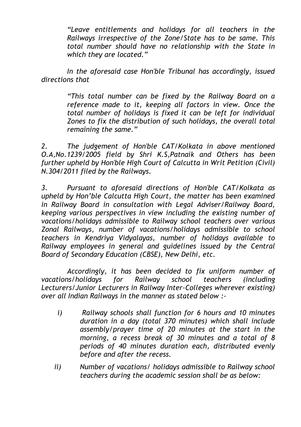*"Leave entitlements and holidays for all teachers in the Railways irrespective of the Zone/State has to be same. This total number should have no relationship with the State in which they are located."*

*In the aforesaid case Hon'ble Tribunal has accordingly, issued directions that*

> *"This total number can be fixed by the Railway Board on a reference made to it, keeping all factors in view. Once the total number of holidays is fixed it can be left for individual Zones to fix the distribution of such holidays, the overall total remaining the same."*

*2. The judgement of Hon'ble CAT/Kolkata in above mentioned O.A,No.1239/2005 field by Shri K.S,Patnaik and Others has been further upheld by Hon'ble High Court of Calcutta in Writ Petition (Civil) N.304/2011 filed by the Railways.*

*3. Pursuant to aforesaid directions of Hon'ble CAT/Kolkata as upheld by Hon'ble Calcutta High Court, the matter has been examined in Railway Board in consultation with Legal Adviser/Railway Board, keeping various perspectives in view including the existing number of vacations/holidays admissible to Railway school teachers over various Zonal Railways, number of vacations/holidays admissible to school teachers in Kendriya Vidyalayas, number of holidays available to Railway employees in general and guidelines issued by the Central Board of Secondary Education (CBSE), New Delhi, etc.*

*Accordingly, it has been decided to fix uniform number of vacations/holidays for Railway school teachers (including Lecturers/Junior Lecturers in Railway Inter-Colleges wherever existing) over all Indian Railways in the manner as stated below :-*

- *i) Railway schools shall function for 6 hours and 10 minutes duration in a day (total 370 minutes) which shall include assembly/prayer time of 20 minutes at the start in the morning, a recess break of 30 minutes and a total of 8 periods of 40 minutes duration each, distributed evenly before and after the recess.*
- *ii) Number of vacations/ holidays admissible to Railway school teachers during the academic session shall be as below:*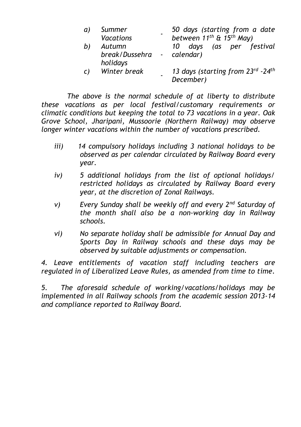| a) | Summer                                           | 50 days (starting from a date                    |
|----|--------------------------------------------------|--------------------------------------------------|
|    | <b>Vacations</b>                                 | between 11 <sup>th</sup> & 15 <sup>th</sup> May) |
| b) | Autumn<br>break/Dussehra - calendar)<br>holidays | 10 days (as per festival                         |
| C) | Winter break                                     | 13 days (starting from 23rd -24th<br>December)   |

*The above is the normal schedule of at liberty to distribute these vacations as per local festival/customary requirements or climatic conditions but keeping the total to 73 vacations in a year. Oak Grove School, Jharipani, Mussoorie (Northern Railway) may observe longer winter vacations within the number of vacations prescribed.*

- *iii) 14 compulsory holidays including 3 national holidays to be observed as per calendar circulated by Railway Board every year.*
- *iv) 5 additional holidays from the list of optional holidays/ restricted holidays as circulated by Railway Board every year, at the discretion of Zonal Railways.*
- *v) Every Sunday shall be weekly off and every 2nd Saturday of the month shall also be a non-working day in Railway schools.*
- *vi) No separate holiday shall be admissible for Annual Day and Sports Day in Railway schools and these days may be observed by suitable adjustments or compensation.*

*4. Leave entitlements of vacation staff including teachers are regulated in of Liberalized Leave Rules, as amended from time to time.*

*5. The aforesaid schedule of working/vacations/holidays may be implemented in all Railway schools from the academic session 2013-14 and compliance reported to Railway Board.*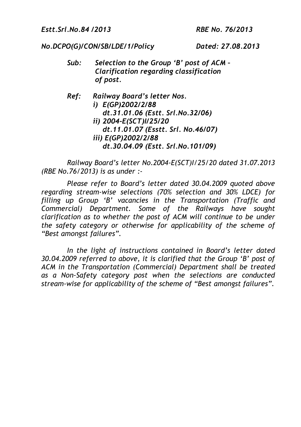*Estt.Srl.No.84 /2013 RBE No. 76/2013*

*No.DCPO(G)/CON/SB/LDE/1/Policy Dated: 27.08.2013*

- *Sub: Selection to the Group 'B' post of ACM – Clarification regarding classification of post.*
- *Ref: Railway Board's letter Nos. i) E(GP)2002/2/88 dt.31.01.06 (Estt. Srl.No.32/06) ii) 2004-E(SCT)I/25/20 dt.11.01.07 (Esstt. Srl. No.46/07) iii) E(GP)2002/2/88 dt.30.04.09 (Estt. Srl.No.101/09)*

*Railway Board's letter No.2004-E(SCT)I/25/20 dated 31.07.2013 (RBE No.76/2013) is as under :-*

*Please refer to Board's letter dated 30.04.2009 quoted above regarding stream-wise selections (70% selection and 30% LDCE) for filling up Group 'B' vacancies in the Transportation (Traffic and Commercial) Department. Some of the Railways have sought clarification as to whether the post of ACM will continue to be under the safety category or otherwise for applicability of the scheme of "Best amongst failures".*

*In the light of instructions contained in Board's letter dated 30.04.2009 referred to above, it is clarified that the Group 'B' post of ACM in the Transportation (Commercial) Department shall be treated as a Non-Safety category post when the selections are conducted stream-wise for applicability of the scheme of "Best amongst failures".*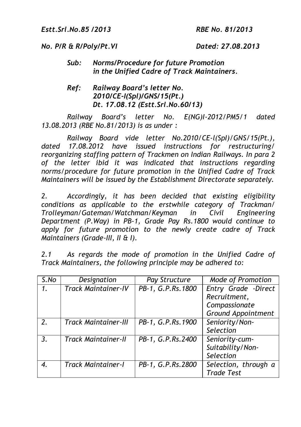*Estt.Srl.No.85 /2013 RBE No. 81/2013*

*No. P/R & R/Poly/Pt.VI Dated: 27.08.2013*

#### *Sub: Norms/Procedure for future Promotion in the Unified Cadre of Track Maintainers.*

## *Ref: Railway Board's letter No. 2010/CE-I(Spl)/GNS/15(Pt.) Dt. 17.08.12 (Estt.Srl.No.60/13)*

*Railway Board's letter No. E(NG)I-2012/PM5/1 dated 13.08.2013 (RBE No.81/2013) is as under :*

*Railway Board vide letter No.2010/CE-l(SpI)/GNS/15(Pt.), dated 17.08.2012 have issued instructions for restructuring/ reorganizing staffing pattern of Trackmen on Indian Railways. In para 2 of the letter ibid it was indicated that instructions regarding norms/procedure for future promotion in the Unified Cadre of Track Maintainers will be issued by the Establishment Directorate separately.*

*2. Accordingly, it has been decided that existing eligibility conditions as applicable to the erstwhile category of Trackman/ Trolleyman/Gateman/Watchman/Keyman in Civil Engineering Department (P.Way) in PB-1, Grade Pay Rs.1800 would continue to apply for future promotion to the newly create cadre of Track Maintainers (Grade-III, II & I).*

*2.1 As regards the mode of promotion in the Unified Cadre of Track Maintainers, the following principle may be adhered to:*

| S.No | Designation                 | Pay Structure      | Mode of Promotion         |  |
|------|-----------------------------|--------------------|---------------------------|--|
| 1.   | <b>Track Maintainer-IV</b>  | PB-1, G.P.Rs. 1800 | Entry Grade -Direct       |  |
|      |                             |                    | Recruitment,              |  |
|      |                             |                    | Compassionate             |  |
|      |                             |                    | <b>Ground Appointment</b> |  |
| 2.   | <b>Track Maintainer-III</b> | PB-1, G.P.Rs.1900  | Seniority/Non-            |  |
|      |                             |                    | Selection                 |  |
| 3.   | <b>Track Maintainer-II</b>  | PB-1, G.P.Rs.2400  | Seniority-cum-            |  |
|      |                             |                    | Suitability/Non-          |  |
|      |                             |                    | Selection                 |  |
| 4.   | <b>Track Maintainer-I</b>   | PB-1, G.P.Rs.2800  | Selection, through a      |  |
|      |                             |                    | <b>Trade Test</b>         |  |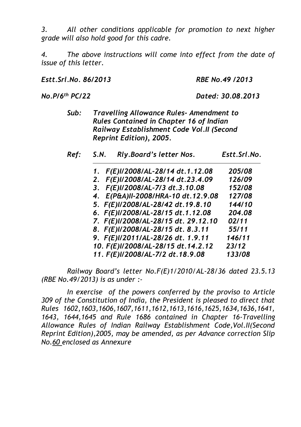*3. All other conditions applicable for promotion to next higher grade will also hold good for this cadre.*

*4. The above instructions will come into effect from the date of issue of this letter.*

*Estt.Srl.No. 86/2013 RBE No.49 /2013*

*No.P/6th PC/22 Dated: 30.08.2013*

*Sub: Travelling Allowance Rules- Amendment to Rules Contained in Chapter 16 of Indian Railway Establishment Code Vol.II (Second Reprint Edition), 2005.*

| Ref: | S.N. | Rly.Board's letter Nos.             | Estt.Srl.No. |
|------|------|-------------------------------------|--------------|
|      |      | 1. F(E)I/2008/AL-28/14 dt.1.12.08   | 205/08       |
|      |      | 2. F(E)I/2008/AL-28/14 dt.23.4.09   | 126/09       |
|      | 3.   | F(E)I/2008/AL-7/3 dt.3.10.08        | 152/08       |
|      |      | 4. E(P&A)II-2008/HRA-10 dt.12.9.08  | 127/08       |
|      |      | 5. F(E)I/2008/AL-28/42 dt.19.8.10   | 144/10       |
|      |      | 6. F(E)I/2008/AL-28/15 dt.1.12.08   | 204.08       |
|      |      | 7. F(E)I/2008/AL-28/15 dt. 29.12.10 | 02/11        |
|      |      | 8. F(E)I/2008/AL-28/15 dt. 8.3.11   | 55/11        |
|      |      | 9. F(E)I/2011/AL-28/26 dt. 1.9.11   | 146/11       |
|      |      | 10. F(E)I/2008/AL-28/15 dt.14.2.12  | 23/12        |
|      |      | 11. F(E)I/2008/AL-7/2 dt.18.9.08    | 133/08       |
|      |      |                                     |              |

*Railway Board's letter No.F(E)1/2010/AL-28/36 dated 23.5.13 (RBE No.49/2013) is as under :-*

*In exercise of the powers conferred by the proviso to Article 309 of the Constitution of India, the President is pleased to direct that Rules 1602,1603,1606,1607,1611,1612,1613,1616,1625,1634,1636,1641, 1643, 1644,1645 and Rule 1686 contained in Chapter 16-Travelling Allowance Rules of Indian Railway Establishment Code,Vol.II(Second Reprint Edition),2005, may be amended, as per Advance correction Slip No.60 enclosed as Annexure*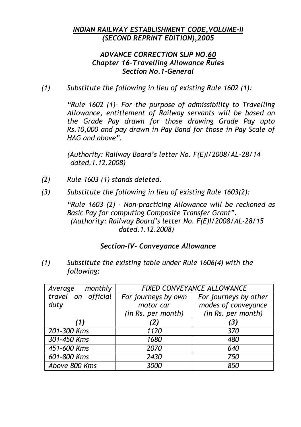### *INDIAN RAILWAY ESTABLISHMENT CODE,VOLUME-II (SECOND REPRINT EDITION),2005*

### *ADVANCE CORRECTION SLIP NO.60 Chapter 16-Travelling Allowance Rules Section No.1-General*

*(1) Substitute the following in lieu of existing Rule 1602 (1):*

*"Rule 1602 (1)- For the purpose of admissibility to Travelling Allowance, entitlement of Railway servants will be based on the Grade Pay drawn for those drawing Grade Pay upto Rs.10,000 and pay drawn in Pay Band for those in Pay Scale of HAG and above".*

*(Authority: Railway Board's letter No. F(E)I/2008/AL-28/14 dated.1.12.2008)*

- *(2) Rule 1603 (1) stands deleted.*
- *(3) Substitute the following in lieu of existing Rule 1603(2):*

*"Rule 1603 (2) - Non-practicing Allowance will be reckoned as Basic Pay for computing Composite Transfer Grant". (Authority: Railway Board's letter No. F(E)I/2008/AL-28/15 dated.1.12.2008)*

## *Section-IV- Conveyance Allowance*

*(1) Substitute the existing table under Rule 1606(4) with the following:*

| monthly<br>Average | <b>FIXED CONVEYANCE ALLOWANCE</b> |                       |  |  |
|--------------------|-----------------------------------|-----------------------|--|--|
| travel on official | For journeys by own               | For journeys by other |  |  |
| duty               | motor car                         | modes of conveyance   |  |  |
|                    | (in Rs. per month)                | (in Rs. per month)    |  |  |
|                    | (2)                               | (3)                   |  |  |
| 201-300 Kms        | 1120                              | 370                   |  |  |
| 301-450 Kms        | 1680                              | 480                   |  |  |
| 451-600 Kms        | 2070                              | 640                   |  |  |
| 601-800 Kms        | 2430                              | 750                   |  |  |
| Above 800 Kms      | 3000                              | 850                   |  |  |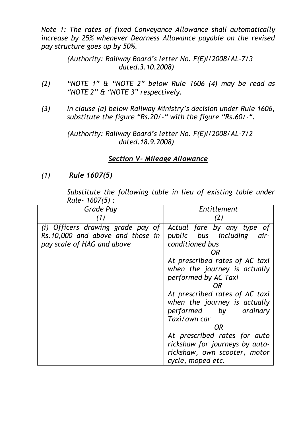*Note 1: The rates of fixed Conveyance Allowance shall automatically increase by 25% whenever Dearness Allowance payable on the revised pay structure goes up by 50%.*

> *(Authority: Railway Board's letter No. F(E)I/2008/AL-7/3 dated.3.10.2008)*

- *(2) "NOTE 1" & "NOTE 2" below Rule 1606 (4) may be read as "NOTE 2" & "NOTE 3" respectively.*
- *(3) In clause (a) below Railway Ministry's decision under Rule 1606, substitute the figure "Rs.20/-" with the figure "Rs.60/-".*

*(Authority: Railway Board's letter No. F(E)I/2008/AL-7/2 dated.18.9.2008)*

# *Section V- Mileage Allowance*

# *(1) Rule 1607(5)*

*Substitute the following table in lieu of existing table under Rule- 1607(5) :*

| Grade Pay                                                                                            | Entitlement                                                                                                                                                                                                                                                                                                                                                                                                                    |
|------------------------------------------------------------------------------------------------------|--------------------------------------------------------------------------------------------------------------------------------------------------------------------------------------------------------------------------------------------------------------------------------------------------------------------------------------------------------------------------------------------------------------------------------|
| (1)                                                                                                  | (2)                                                                                                                                                                                                                                                                                                                                                                                                                            |
| (i) Officers drawing grade pay of<br>Rs. 10,000 and above and those in<br>pay scale of HAG and above | Actual fare by any type of<br>public bus including<br>air-<br>conditioned bus<br>ΟR<br>At prescribed rates of AC taxi<br>when the journey is actually<br>performed by AC Taxi<br>ΟR<br>At prescribed rates of AC taxi<br>when the journey is actually<br>performed by<br>ordinary<br>Taxi/own car<br>OR<br>At prescribed rates for auto<br>rickshaw for journeys by auto-<br>rickshaw, own scooter, motor<br>cycle, moped etc. |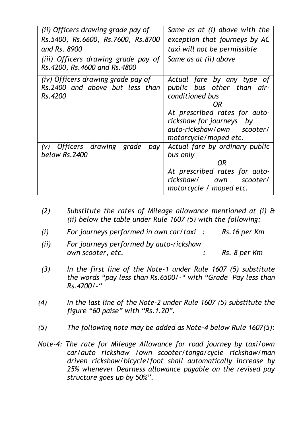| (ii) Officers drawing grade pay of                                               | Same as at (i) above with the                                                                                                                                                                         |  |
|----------------------------------------------------------------------------------|-------------------------------------------------------------------------------------------------------------------------------------------------------------------------------------------------------|--|
| Rs.5400, Rs.6600, Rs.7600, Rs.8700                                               | exception that journeys by AC                                                                                                                                                                         |  |
| and Rs. 8900                                                                     | taxi will not be permissible                                                                                                                                                                          |  |
| (iii) Officers drawing grade pay of<br>Rs.4200, Rs.4600 and Rs.4800              | Same as at (ii) above                                                                                                                                                                                 |  |
| (iv) Officers drawing grade pay of<br>Rs.2400 and above but less than<br>Rs.4200 | Actual fare by any type of<br>public bus other than air-<br>conditioned bus<br>ΟR<br>At prescribed rates for auto-<br>rickshaw for journeys by<br>auto-rickshaw/own scooter/<br>motorcycle/moped etc. |  |
| (v) Officers drawing grade<br>pay<br>below Rs.2400                               | Actual fare by ordinary public<br>bus only<br>ΟR<br>At prescribed rates for auto-<br>rickshaw/ own scooter/<br>motorcycle / moped etc.                                                                |  |

- *(2) Substitute the rates of Mileage allowance mentioned at (i) & (ii) below the table under Rule 1607 (5) with the following:*
- *(i) For journeys performed in own car/taxi : Rs.16 per Km*
- *(ii) For journeys performed by auto-rickshaw own scooter, etc. : Rs. 8 per Km*
- *(3) In the first line of the Note-1 under Rule 1607 (5) substitute the words "pay less than Rs.6500/-" with "Grade Pay less than Rs.4200/-"*
- *(4) In the last line of the Note-2 under Rule 1607 (5) substitute the figure "60 paise" with "Rs.1.20".*
- *(5) The following note may be added as Note-4 below Rule 1607(5):*
- *Note-4: The rate for Mileage Allowance for road journey by taxi/own car/auto rickshaw /own scooter/tonga/cycle rickshaw/man driven rickshaw/bicycle/foot shall automatically increase by 25% whenever Dearness allowance payable on the revised pay structure goes up by 50%".*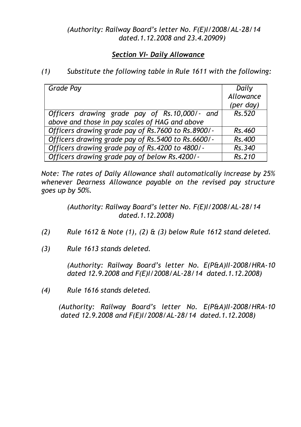### *(Authority: Railway Board's letter No. F(E)I/2008/AL-28/14 dated.1.12.2008 and 23.4.20909)*

## *Section VI- Daily Allowance*

*(1) Substitute the following table in Rule 1611 with the following:*

| Grade Pay                                          | Daily     |
|----------------------------------------------------|-----------|
|                                                    | Allowance |
|                                                    | (per day) |
| Officers drawing grade pay of Rs. 10,000/- and     | Rs.520    |
| above and those in pay scales of HAG and above     |           |
| Officers drawing grade pay of Rs.7600 to Rs.8900/- | Rs.460    |
| Officers drawing grade pay of Rs.5400 to Rs.6600/- | Rs.400    |
| Officers drawing grade pay of Rs. 4200 to 4800/-   | Rs.340    |
| Officers drawing grade pay of below Rs.4200/-      | Rs.210    |

*Note: The rates of Daily Allowance shall automatically increase by 25% whenever Dearness Allowance payable on the revised pay structure goes up by 50%.*

> *(Authority: Railway Board's letter No. F(E)I/2008/AL-28/14 dated.1.12.2008)*

- *(2) Rule 1612 & Note (1), (2) & (3) below Rule 1612 stand deleted.*
- *(3) Rule 1613 stands deleted.*

*(Authority: Railway Board's letter No. E(P&A)II-2008/HRA-10 dated 12.9.2008 and F(E)I/2008/AL-28/14 dated.1.12.2008)*

*(4) Rule 1616 stands deleted.*

 *(Authority: Railway Board's letter No. E(P&A)II-2008/HRA-10 dated 12.9.2008 and F(E)I/2008/AL-28/14 dated.1.12.2008)*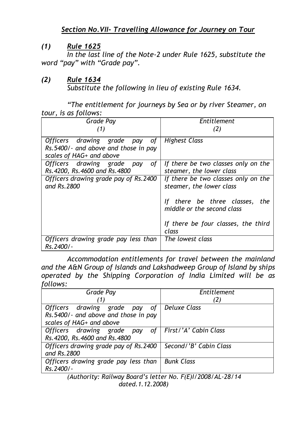# *Section No.VII- Travelling Allowance for Journey on Tour*

## *(1) Rule 1625*

*In the last line of the Note-2 under Rule 1625, substitute the word "pay" with "Grade pay".*

#### *(2) Rule 1634 Substitute the following in lieu of existing Rule 1634.*

*"The entitlement for journeys by Sea or by river Steamer, on tour, is as follows:*

| Grade Pay                                                         | Entitlement                                                  |
|-------------------------------------------------------------------|--------------------------------------------------------------|
| (1)                                                               | (2)                                                          |
| Officers drawing grade pay of                                     | Highest Class                                                |
| Rs. 5400/- and above and those in pay<br>scales of HAG+ and above |                                                              |
| Officers drawing grade pay<br>of                                  | If there be two classes only on the                          |
| Rs. 4200, Rs. 4600 and Rs. 4800                                   | steamer, the lower class                                     |
| Officers drawing grade pay of Rs.2400                             | If there be two classes only on the                          |
| and Rs. 2800                                                      | steamer, the lower class                                     |
|                                                                   | If there be three classes, the<br>middle or the second class |
|                                                                   | If there be four classes, the third<br>class                 |
| Officers drawing grade pay less than<br>Rs.2400/-                 | The lowest class                                             |

*Accommodation entitlements for travel between the mainland and the A&N Group of Islands and Lakshadweep Group of Island by ships operated by the Shipping Corporation of India Limited will be as follows:*

| Grade Pay                             | Entitlement                |
|---------------------------------------|----------------------------|
|                                       | (2)                        |
| Officers drawing grade pay of         | Deluxe Class               |
| Rs. 5400/- and above and those in pay |                            |
| scales of HAG+ and above              |                            |
| Officers drawing grade pay            | of   First/'A' Cabin Class |
| Rs. 4200, Rs. 4600 and Rs. 4800       |                            |
| Officers drawing grade pay of Rs.2400 | Second/'B' Cabin Class     |
| and Rs. 2800                          |                            |
| Officers drawing grade pay less than  | <b>Bunk Class</b>          |
| Rs. 2400/-                            |                            |

*(Authority: Railway Board's letter No. F(E)I/2008/AL-28/14 dated.1.12.2008)*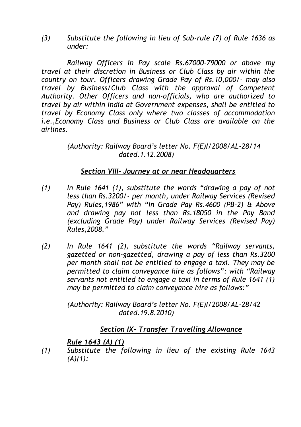*(3) Substitute the following in lieu of Sub-rule (7) of Rule 1636 as under:*

*Railway Officers in Pay scale Rs.67000-79000 or above my travel at their discretion in Business or Club Class by air within the country on tour. Officers drawing Grade Pay of Rs.10,000/- may also travel by Business/Club Class with the approval of Competent Authority. Other Officers and non-officials, who are authorized to travel by air within India at Government expenses, shall be entitled to travel by Economy Class only where two classes of accommodation i.e.,Economy Class and Business or Club Class are available on the airlines.*

> *(Authority: Railway Board's letter No. F(E)I/2008/AL-28/14 dated.1.12.2008)*

#### *Section VIII- Journey at or near Headquarters*

- *(1) In Rule 1641 (1), substitute the words "drawing a pay of not less than Rs.3200/- per month, under Railway Services (Revised Pay) Rules,1986" with "in Grade Pay Rs.4600 (PB-2) & Above and drawing pay not less than Rs.18050 in the Pay Band (excluding Grade Pay) under Railway Services (Revised Pay) Rules,2008."*
- *(2) In Rule 1641 (2), substitute the words "Railway servants, gazetted or non-gazetted, drawing a pay of less than Rs.3200 per month shall not be entitled to engage a taxi. They may be permitted to claim conveyance hire as follows": with "Railway servants not entitled to engage a taxi in terms of Rule 1641 (1) may be permitted to claim conveyance hire as follows:"*

*(Authority: Railway Board's letter No. F(E)I/2008/AL-28/42 dated.19.8.2010)*

# *Section IX- Transfer Travelling Allowance*

# *Rule 1643 (A) (1)*

*(1) Substitute the following in lieu of the existing Rule 1643 (A)(1):*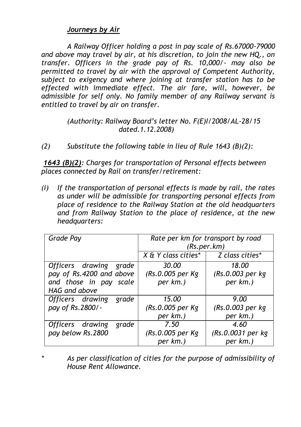# *Journeys by Air*

*A Railway Officer holding a post in pay scale of Rs.67000-79000 and above may travel by air, at his discretion, to join the new HQ., on transfer. Officers in the grade pay of Rs. 10,000/- may also be permitted to travel by air with the approval of Competent Authority, subject to exigency and where joining at transfer station has to be effected with immediate effect. The air fare, will, however, be admissible for self only. No family member of any Railway servant is entitled to travel by air on transfer.*

### *(Authority: Railway Board's letter No. F(E)I/2008/AL-28/15 dated.1.12.2008)*

*(2) Substitute the following table in lieu of Rule 1643 (B)(2):*

*1643 (B)(2): Charges for transportation of Personal effects between places connected by Rail on transfer/retirement:*

*(i) If the transportation of personal effects is made by rail, the rates as under will be admissible for transporting personal effects from place of residence to the Railway Station at the old headquarters and from Railway Station to the place of residence, at the new headquarters:* 

| Grade Pay                                                                                     | Rate per km for transport by road<br>(Rs.per.km) |                                       |
|-----------------------------------------------------------------------------------------------|--------------------------------------------------|---------------------------------------|
|                                                                                               | $X \& Y$ class cities*                           | Z class cities*                       |
| Officers drawing grade<br>pay of Rs.4200 and above<br>and those in pay scale<br>HAG and above | 30.00<br>(Rs.0.005 per Kg<br>per km.)            | 18.00<br>(Rs.0.003 per kg<br>per km.) |
| Officers drawing<br>grade<br>pay of Rs.2800/-                                                 | 15.00<br>(Rs.0.005 per Kg<br>per km.)            | 9.00<br>(Rs.0.003 per kg<br>per km.)  |
| Officers drawing<br>grade<br>pay below Rs.2800                                                | 7.50<br>(Rs.0.005 per Kg<br>per km.)             | 4.60<br>(Rs.0.0031 per kg<br>per km.) |

*\* As per classification of cities for the purpose of admissibility of House Rent Allowance.*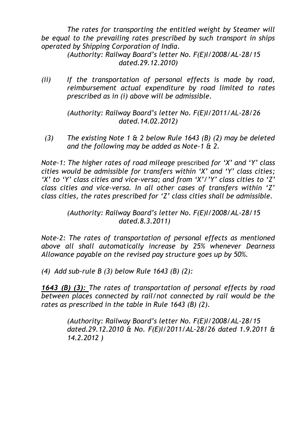*The rates for transporting the entitled weight by Steamer will be equal to the prevailing rates prescribed by such transport in ships operated by Shipping Corporation of India.*

*(Authority: Railway Board's letter No. F(E)I/2008/AL-28/15 dated.29.12.2010)*

*(ii) If the transportation of personal effects is made by road, reimbursement actual expenditure by road limited to rates prescribed as in (i) above will be admissible.*

> *(Authority: Railway Board's letter No. F(E)I/2011/AL-28/26 dated.14.02.2012)*

*(3) The existing Note 1 & 2 below Rule 1643 (B) (2) may be deleted and the following may be added as Note-1 & 2.*

*Note-1: The higher rates of road mileage* prescribed *for 'X' and 'Y' class cities would be admissible for transfers within 'X' and 'Y' class cities; 'X' to 'Y' class cities and vice-versa; and from 'X'/'Y' class cities to 'Z' class cities and vice-versa. In all other cases of transfers within 'Z' class cities, the rates prescribed for 'Z' class cities shall be admissible.*

## *(Authority: Railway Board's letter No. F(E)I/2008/AL-28/15 dated.8.3.2011)*

*Note-2: The rates of transportation of personal effects as mentioned above all shall automatically increase by 25% whenever Dearness Allowance payable on the revised pay structure goes up by 50%.*

*(4) Add sub-rule B (3) below Rule 1643 (B) (2):*

*1643 (B) (3): The rates of transportation of personal effects by road between places connected by rail/not connected by rail would be the rates as prescribed in the table in Rule 1643 (B) (2).*

> *(Authority: Railway Board's letter No. F(E)I/2008/AL-28/15 dated.29.12.2010 & No. F(E)I/2011/AL-28/26 dated 1.9.2011 & 14.2.2012 )*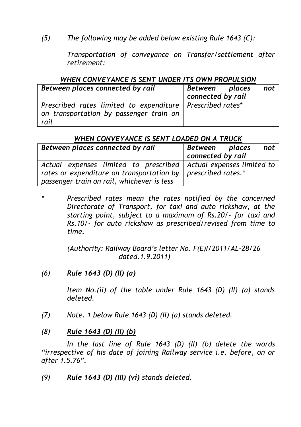*(5) The following may be added below existing Rule 1643 (C):*

*Transportation of conveyance on Transfer/settlement after retirement:*

#### *WHEN CONVEYANCE IS SENT UNDER ITS OWN PROPULSION*

| Between places connected by rail                                                                               | Between places<br>connected by rail | not |
|----------------------------------------------------------------------------------------------------------------|-------------------------------------|-----|
| Prescribed rates limited to expenditure   Prescribed rates*<br>on transportation by passenger train on<br>rail |                                     |     |

# *WHEN CONVEYANCE IS SENT LOADED ON A TRUCK*

| Between places connected by rail                                                                                                                                                   | Between places<br>not<br>connected by rail |  |  |  |
|------------------------------------------------------------------------------------------------------------------------------------------------------------------------------------|--------------------------------------------|--|--|--|
| Actual expenses limited to prescribed Actual expenses limited to<br>rates or expenditure on transportation by $ $ prescribed rates.*<br>passenger train on rail, whichever is less |                                            |  |  |  |

*\* Prescribed rates mean the rates notified by the concerned Directorate of Transport, for taxi and auto rickshaw, at the starting point, subject to a maximum of Rs.20/- for taxi and Rs.10/- for auto rickshaw as prescribed/revised from time to time.*

> *(Authority: Railway Board's letter No. F(E)I/2011/AL-28/26 dated.1.9.2011)*

*(6) Rule 1643 (D) (II) (a)*

*Item No.(ii) of the table under Rule 1643 (D) (II) (a) stands deleted.*

- *(7) Note. 1 below Rule 1643 (D) (II) (a) stands deleted.*
- *(8) Rule 1643 (D) (II) (b)*

*In the last line of Rule 1643 (D) (II) (b) delete the words "irrespective of his date of joining Railway service i.e. before, on or after 1.5.76".*

*(9) Rule 1643 (D) (III) (vi) stands deleted.*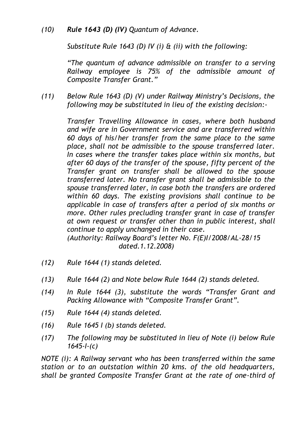#### *(10) Rule 1643 (D) (IV) Quantum of Advance.*

*Substitute Rule 1643 (D) IV (i) & (ii) with the following:*

*"The quantum of advance admissible on transfer to a serving Railway employee is 75% of the admissible amount of Composite Transfer Grant."*

*(11) Below Rule 1643 (D) (V) under Railway Ministry's Decisions, the following may be substituted in lieu of the existing decision:-*

> *Transfer Travelling Allowance in cases, where both husband and wife are in Government service and are transferred within 60 days of his/her transfer from the same place to the same place, shall not be admissible to the spouse transferred later. In cases where the transfer takes place within six months, but after 60 days of the transfer of the spouse, fifty percent of the Transfer grant on transfer shall be allowed to the spouse transferred later. No transfer grant shall be admissible to the spouse transferred later, in case both the transfers are ordered within 60 days. The existing provisions shall continue to be applicable in case of transfers after a period of six months or more. Other rules precluding transfer grant in case of transfer at own request or transfer other than in public interest, shall continue to apply unchanged in their case. (Authority: Railway Board's letter No. F(E)I/2008/AL-28/15*

> > *dated.1.12.2008)*

- *(12) Rule 1644 (1) stands deleted.*
- *(13) Rule 1644 (2) and Note below Rule 1644 (2) stands deleted.*
- *(14) In Rule 1644 (3), substitute the words "Transfer Grant and Packing Allowance with "Composite Transfer Grant".*
- *(15) Rule 1644 (4) stands deleted.*
- *(16) Rule 1645 I (b) stands deleted.*
- *(17) The following may be substituted in lieu of Note (i) below Rule 1645-I-(c)*

*NOTE (i): A Railway servant who has been transferred within the same station or to an outstation within 20 kms. of the old headquarters, shall be granted Composite Transfer Grant at the rate of one-third of*